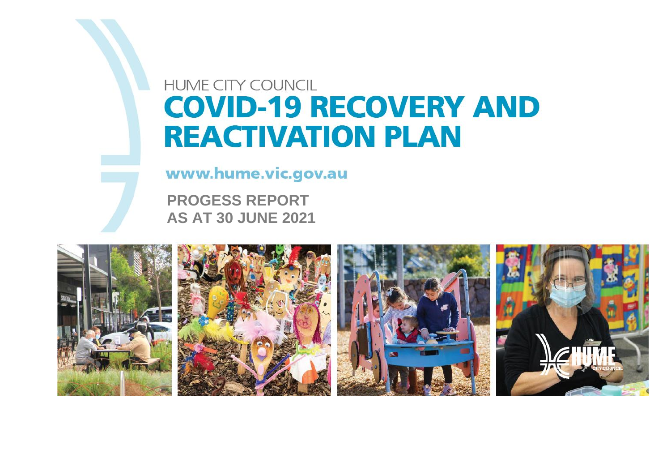# **HUME CITY COUNCIL COVID-19 RECOVERY AND REACTIVATION PLAN**

www.hume.vic.gov.au

**PROGESS REPORT AS AT 30 JUNE 2021**

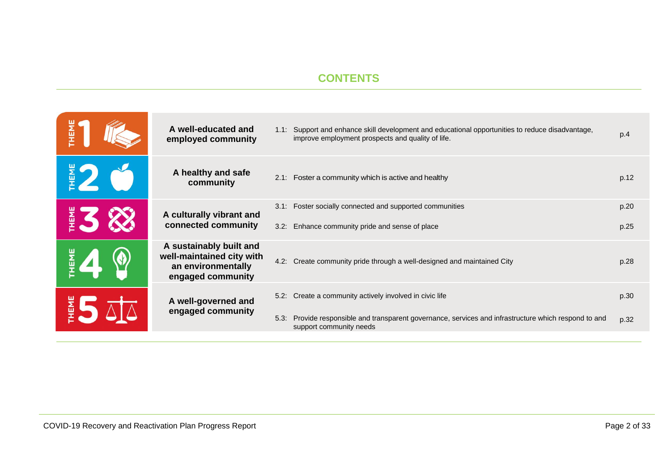#### **CONTENTS**

| A well-educated and<br>1.1: Support and enhance skill development and educational opportunities to reduce disadvantage,<br>슾<br>improve employment prospects and quality of life.<br>employed community | p.4  |
|---------------------------------------------------------------------------------------------------------------------------------------------------------------------------------------------------------|------|
| $\frac{2}{5}$<br>A healthy and safe<br>2.1: Foster a community which is active and healthy<br>community                                                                                                 | p.12 |
| 3.1: Foster socially connected and supported communities<br>A culturally vibrant and                                                                                                                    | p.20 |
| $rac{1}{2}$<br>connected community<br>Enhance community pride and sense of place<br>3.2:                                                                                                                | p.25 |
| A sustainably built and<br>HEME<br>well-maintained city with<br>4.2: Create community pride through a well-designed and maintained City<br>an environmentally<br>engaged community                      | p.28 |
| 5.2: Create a community actively involved in civic life<br>A well-governed and                                                                                                                          | p.30 |
| E L<br>engaged community<br>Provide responsible and transparent governance, services and infrastructure which respond to and<br>5.3:<br>support community needs                                         | p.32 |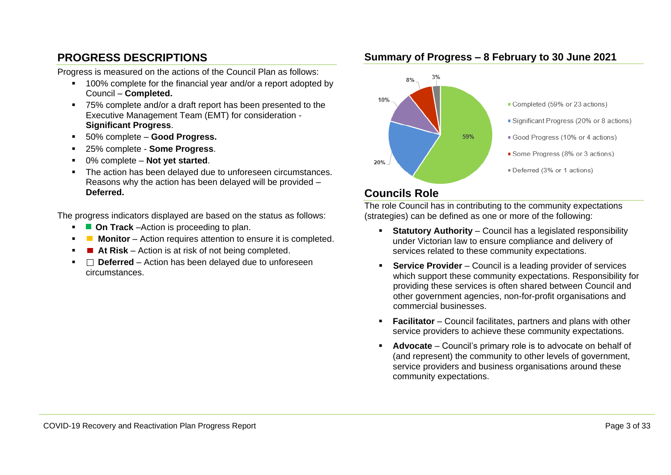#### **PROGRESS DESCRIPTIONS**

Progress is measured on the actions of the Council Plan as follows:

- 100% complete for the financial year and/or a report adopted by Council – **Completed.**
- 75% complete and/or a draft report has been presented to the Executive Management Team (EMT) for consideration - **Significant Progress**.
- 50% complete **Good Progress.**
- 25% complete **Some Progress**.
- 0% complete Not vet started.
- The action has been delayed due to unforeseen circumstances. Reasons why the action has been delayed will be provided – **Deferred.**

The progress indicators displayed are based on the status as follows:

- **On Track** –Action is proceeding to plan.
- **Monitor** Action requires attention to ensure it is completed.
- At Risk Action is at risk of not being completed.
- □ Deferred Action has been delayed due to unforeseen circumstances.

#### **Summary of Progress – 8 February to 30 June 2021**



#### **Councils Role**

The role Council has in contributing to the community expectations (strategies) can be defined as one or more of the following:

- **EXECUTE:** Statutory Authority Council has a legislated responsibility under Victorian law to ensure compliance and delivery of services related to these community expectations.
- **Service Provider** Council is a leading provider of services which support these community expectations. Responsibility for providing these services is often shared between Council and other government agencies, non-for-profit organisations and commercial businesses.
- **Facilitator** Council facilitates, partners and plans with other service providers to achieve these community expectations.
- **Advocate** Council's primary role is to advocate on behalf of (and represent) the community to other levels of government, service providers and business organisations around these community expectations.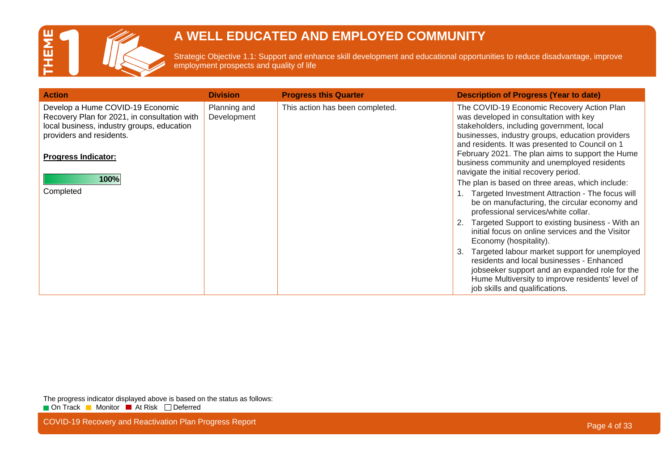

Strategic Objective 1.1: Support and enhance skill development and educational opportunities to reduce disadvantage, improve employment prospects and quality of life

| <b>Action</b>                                                                                                                                              | <b>Division</b>             | <b>Progress this Quarter</b>    | <b>Description of Progress (Year to date)</b>                                                                                                                                                                                            |
|------------------------------------------------------------------------------------------------------------------------------------------------------------|-----------------------------|---------------------------------|------------------------------------------------------------------------------------------------------------------------------------------------------------------------------------------------------------------------------------------|
| Develop a Hume COVID-19 Economic<br>Recovery Plan for 2021, in consultation with<br>local business, industry groups, education<br>providers and residents. | Planning and<br>Development | This action has been completed. | The COVID-19 Economic Recovery Action Plan<br>was developed in consultation with key<br>stakeholders, including government, local<br>businesses, industry groups, education providers<br>and residents. It was presented to Council on 1 |
| <b>Progress Indicator:</b>                                                                                                                                 |                             |                                 | February 2021. The plan aims to support the Hume<br>business community and unemployed residents<br>navigate the initial recovery period.                                                                                                 |
| 100%                                                                                                                                                       |                             |                                 | The plan is based on three areas, which include:                                                                                                                                                                                         |
| Completed                                                                                                                                                  |                             |                                 | Targeted Investment Attraction - The focus will<br>be on manufacturing, the circular economy and<br>professional services/white collar.                                                                                                  |
|                                                                                                                                                            |                             |                                 | Targeted Support to existing business - With an<br>initial focus on online services and the Visitor<br>Economy (hospitality).                                                                                                            |
|                                                                                                                                                            |                             |                                 | Targeted labour market support for unemployed<br>3.<br>residents and local businesses - Enhanced<br>jobseeker support and an expanded role for the<br>Hume Multiversity to improve residents' level of<br>job skills and qualifications. |

The progress indicator displayed above is based on the status as follows: On Track Monitor At Risk Deferred

COVID-19 Recovery and Reactivation Plan Progress Report **Page 4 of 33** and 200 km and 200 km and 200 km and 200 km and 200 km and 200 km and 200 km and 200 km and 200 km and 200 km and 200 km and 200 km and 200 km and 200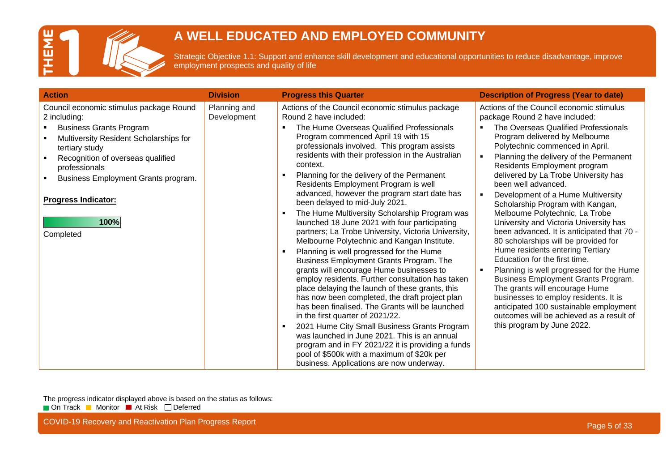

Strategic Objective 1.1: Support and enhance skill development and educational opportunities to reduce disadvantage, improve employment prospects and quality of life

| <b>Action</b>                                                                                                                                                                                                                                                                                         | <b>Division</b>             | <b>Progress this Quarter</b>                                                                                                                                                                                                                                                                                                                                                                                                                                                                                                                                                                                                                                                                                                                                                                                                                                                                                                                                                                                                                                                                                                                                                                                                                                                                                                      | <b>Description of Progress (Year to date)</b>                                                                                                                                                                                                                                                                                                                                                                                                                                                                                                                                                                                                                                                                                                                                                                                                                                                                                        |
|-------------------------------------------------------------------------------------------------------------------------------------------------------------------------------------------------------------------------------------------------------------------------------------------------------|-----------------------------|-----------------------------------------------------------------------------------------------------------------------------------------------------------------------------------------------------------------------------------------------------------------------------------------------------------------------------------------------------------------------------------------------------------------------------------------------------------------------------------------------------------------------------------------------------------------------------------------------------------------------------------------------------------------------------------------------------------------------------------------------------------------------------------------------------------------------------------------------------------------------------------------------------------------------------------------------------------------------------------------------------------------------------------------------------------------------------------------------------------------------------------------------------------------------------------------------------------------------------------------------------------------------------------------------------------------------------------|--------------------------------------------------------------------------------------------------------------------------------------------------------------------------------------------------------------------------------------------------------------------------------------------------------------------------------------------------------------------------------------------------------------------------------------------------------------------------------------------------------------------------------------------------------------------------------------------------------------------------------------------------------------------------------------------------------------------------------------------------------------------------------------------------------------------------------------------------------------------------------------------------------------------------------------|
| Council economic stimulus package Round<br>2 including:<br><b>Business Grants Program</b><br>Multiversity Resident Scholarships for<br>tertiary study<br>Recognition of overseas qualified<br>professionals<br>Business Employment Grants program.<br><b>Progress Indicator:</b><br>100%<br>Completed | Planning and<br>Development | Actions of the Council economic stimulus package<br>Round 2 have included:<br>The Hume Overseas Qualified Professionals<br>$\blacksquare$<br>Program commenced April 19 with 15<br>professionals involved. This program assists<br>residents with their profession in the Australian<br>context.<br>Planning for the delivery of the Permanent<br>$\blacksquare$<br>Residents Employment Program is well<br>advanced, however the program start date has<br>been delayed to mid-July 2021.<br>The Hume Multiversity Scholarship Program was<br>$\blacksquare$<br>launched 18 June 2021 with four participating<br>partners; La Trobe University, Victoria University,<br>Melbourne Polytechnic and Kangan Institute.<br>Planning is well progressed for the Hume<br>٠<br>Business Employment Grants Program. The<br>grants will encourage Hume businesses to<br>employ residents. Further consultation has taken<br>place delaying the launch of these grants, this<br>has now been completed, the draft project plan<br>has been finalised. The Grants will be launched<br>in the first quarter of 2021/22.<br>2021 Hume City Small Business Grants Program<br>$\blacksquare$<br>was launched in June 2021. This is an annual<br>program and in FY 2021/22 it is providing a funds<br>pool of \$500k with a maximum of \$20k per | Actions of the Council economic stimulus<br>package Round 2 have included:<br>The Overseas Qualified Professionals<br>Program delivered by Melbourne<br>Polytechnic commenced in April.<br>Planning the delivery of the Permanent<br>Residents Employment program<br>delivered by La Trobe University has<br>been well advanced.<br>Development of a Hume Multiversity<br>Scholarship Program with Kangan,<br>Melbourne Polytechnic, La Trobe<br>University and Victoria University has<br>been advanced. It is anticipated that 70 -<br>80 scholarships will be provided for<br>Hume residents entering Tertiary<br>Education for the first time.<br>Planning is well progressed for the Hume<br>Business Employment Grants Program.<br>The grants will encourage Hume<br>businesses to employ residents. It is<br>anticipated 100 sustainable employment<br>outcomes will be achieved as a result of<br>this program by June 2022. |
|                                                                                                                                                                                                                                                                                                       |                             | business. Applications are now underway.                                                                                                                                                                                                                                                                                                                                                                                                                                                                                                                                                                                                                                                                                                                                                                                                                                                                                                                                                                                                                                                                                                                                                                                                                                                                                          |                                                                                                                                                                                                                                                                                                                                                                                                                                                                                                                                                                                                                                                                                                                                                                                                                                                                                                                                      |

The progress indicator displayed above is based on the status as follows: On Track Monitor At Risk Deferred

COVID-19 Recovery and Reactivation Plan Progress Report **Page 1966** COVID-19 Recovery and Reactivation Plan Progress Report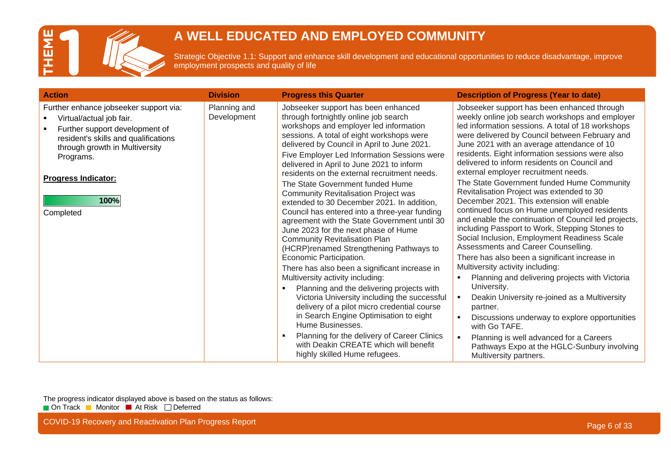

Strategic Objective 1.1: Support and enhance skill development and educational opportunities to reduce disadvantage, improve employment prospects and quality of life

| <b>Action</b>                                                                                                                                                                                                                                  | <b>Division</b>             | <b>Progress this Quarter</b>                                                                                                                                                                                                                                                                                                                                                                                                                                                                                                                                                                                                                                                                                                                                                                                                                                                                                                                                                                                                                                                                                                                                                   | <b>Description of Progress (Year to date)</b>                                                                                                                                                                                                                                                                                                                                                                                                                                                                                                                                                                                                                                                                                                                                                                                                                                                                                                                                                                                                                                                                                                                                                                                                    |
|------------------------------------------------------------------------------------------------------------------------------------------------------------------------------------------------------------------------------------------------|-----------------------------|--------------------------------------------------------------------------------------------------------------------------------------------------------------------------------------------------------------------------------------------------------------------------------------------------------------------------------------------------------------------------------------------------------------------------------------------------------------------------------------------------------------------------------------------------------------------------------------------------------------------------------------------------------------------------------------------------------------------------------------------------------------------------------------------------------------------------------------------------------------------------------------------------------------------------------------------------------------------------------------------------------------------------------------------------------------------------------------------------------------------------------------------------------------------------------|--------------------------------------------------------------------------------------------------------------------------------------------------------------------------------------------------------------------------------------------------------------------------------------------------------------------------------------------------------------------------------------------------------------------------------------------------------------------------------------------------------------------------------------------------------------------------------------------------------------------------------------------------------------------------------------------------------------------------------------------------------------------------------------------------------------------------------------------------------------------------------------------------------------------------------------------------------------------------------------------------------------------------------------------------------------------------------------------------------------------------------------------------------------------------------------------------------------------------------------------------|
| Further enhance jobseeker support via:<br>Virtual/actual job fair.<br>Further support development of<br>resident's skills and qualifications<br>through growth in Multiversity<br>Programs.<br><b>Progress Indicator:</b><br>100%<br>Completed | Planning and<br>Development | Jobseeker support has been enhanced<br>through fortnightly online job search<br>workshops and employer led information<br>sessions. A total of eight workshops were<br>delivered by Council in April to June 2021.<br>Five Employer Led Information Sessions were<br>delivered in April to June 2021 to inform<br>residents on the external recruitment needs.<br>The State Government funded Hume<br><b>Community Revitalisation Project was</b><br>extended to 30 December 2021. In addition,<br>Council has entered into a three-year funding<br>agreement with the State Government until 30<br>June 2023 for the next phase of Hume<br><b>Community Revitalisation Plan</b><br>(HCRP)renamed Strengthening Pathways to<br>Economic Participation.<br>There has also been a significant increase in<br>Multiversity activity including:<br>Planning and the delivering projects with<br>Victoria University including the successful<br>delivery of a pilot micro credential course<br>in Search Engine Optimisation to eight<br>Hume Businesses.<br>Planning for the delivery of Career Clinics<br>with Deakin CREATE which will benefit<br>highly skilled Hume refugees. | Jobseeker support has been enhanced through<br>weekly online job search workshops and employer<br>led information sessions. A total of 18 workshops<br>were delivered by Council between February and<br>June 2021 with an average attendance of 10<br>residents. Eight information sessions were also<br>delivered to inform residents on Council and<br>external employer recruitment needs.<br>The State Government funded Hume Community<br>Revitalisation Project was extended to 30<br>December 2021. This extension will enable<br>continued focus on Hume unemployed residents<br>and enable the continuation of Council led projects,<br>including Passport to Work, Stepping Stones to<br>Social Inclusion, Employment Readiness Scale<br>Assessments and Career Counselling.<br>There has also been a significant increase in<br>Multiversity activity including:<br>Planning and delivering projects with Victoria<br>University.<br>Deakin University re-joined as a Multiversity<br>$\mathbf{r}$<br>partner.<br>$\mathbf{u}$<br>Discussions underway to explore opportunities<br>with Go TAFE.<br>Planning is well advanced for a Careers<br>$\mathbf{u}$<br>Pathways Expo at the HGLC-Sunbury involving<br>Multiversity partners. |

The progress indicator displayed above is based on the status as follows: On Track Monitor At Risk Deferred

COVID-19 Recovery and Reactivation Plan Progress Report **Page 6 of 33** and 200 km and 200 km and 200 km and 200 km and 200 km and 200 km and 200 km and 200 km and 200 km and 200 km and 200 km and 200 km and 200 km and 200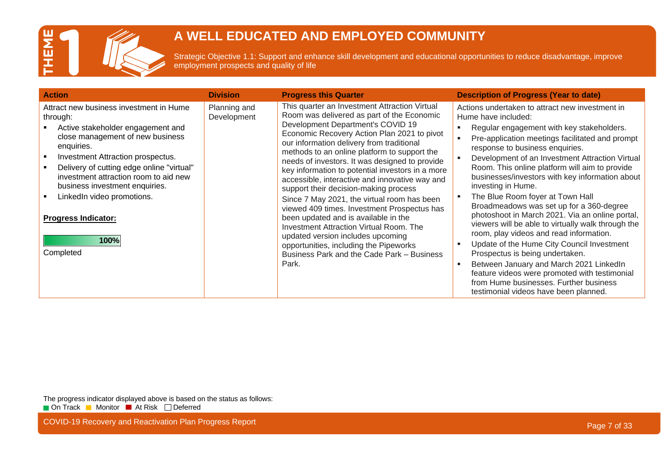

Strategic Objective 1.1: Support and enhance skill development and educational opportunities to reduce disadvantage, improve employment prospects and quality of life

| <b>Action</b>                                                                                                                                                                                                                                                                                                                                                                            | <b>Division</b>             | <b>Progress this Quarter</b>                                                                                                                                                                                                                                                                                                                                                                                                                                                                                                                                                                                                                                                                                                                                                                                | <b>Description of Progress (Year to date)</b>                                                                                                                                                                                                                                                                                                                                                                                                                                                                                                                                                                                                                                                                                                                                                                                                                                               |
|------------------------------------------------------------------------------------------------------------------------------------------------------------------------------------------------------------------------------------------------------------------------------------------------------------------------------------------------------------------------------------------|-----------------------------|-------------------------------------------------------------------------------------------------------------------------------------------------------------------------------------------------------------------------------------------------------------------------------------------------------------------------------------------------------------------------------------------------------------------------------------------------------------------------------------------------------------------------------------------------------------------------------------------------------------------------------------------------------------------------------------------------------------------------------------------------------------------------------------------------------------|---------------------------------------------------------------------------------------------------------------------------------------------------------------------------------------------------------------------------------------------------------------------------------------------------------------------------------------------------------------------------------------------------------------------------------------------------------------------------------------------------------------------------------------------------------------------------------------------------------------------------------------------------------------------------------------------------------------------------------------------------------------------------------------------------------------------------------------------------------------------------------------------|
| Attract new business investment in Hume<br>through:<br>Active stakeholder engagement and<br>close management of new business<br>enquiries.<br>Investment Attraction prospectus.<br>Delivery of cutting edge online "virtual"<br>investment attraction room to aid new<br>business investment enquiries.<br>LinkedIn video promotions.<br><b>Progress Indicator:</b><br>100%<br>Completed | Planning and<br>Development | This quarter an Investment Attraction Virtual<br>Room was delivered as part of the Economic<br>Development Department's COVID 19<br>Economic Recovery Action Plan 2021 to pivot<br>our information delivery from traditional<br>methods to an online platform to support the<br>needs of investors. It was designed to provide<br>key information to potential investors in a more<br>accessible, interactive and innovative way and<br>support their decision-making process<br>Since 7 May 2021, the virtual room has been<br>viewed 409 times. Investment Prospectus has<br>been updated and is available in the<br><b>Investment Attraction Virtual Room. The</b><br>updated version includes upcoming<br>opportunities, including the Pipeworks<br>Business Park and the Cade Park - Business<br>Park. | Actions undertaken to attract new investment in<br>Hume have included:<br>Regular engagement with key stakeholders.<br>Pre-application meetings facilitated and prompt<br>response to business enquiries.<br>Development of an Investment Attraction Virtual<br>Room. This online platform will aim to provide<br>businesses/investors with key information about<br>investing in Hume.<br>The Blue Room foyer at Town Hall<br>Broadmeadows was set up for a 360-degree<br>photoshoot in March 2021. Via an online portal,<br>viewers will be able to virtually walk through the<br>room, play videos and read information.<br>Update of the Hume City Council Investment<br>Prospectus is being undertaken.<br>Between January and March 2021 LinkedIn<br>feature videos were promoted with testimonial<br>from Hume businesses. Further business<br>testimonial videos have been planned. |

The progress indicator displayed above is based on the status as follows: On Track Monitor At Risk Deferred

COVID-19 Recovery and Reactivation Plan Progress Report **Page 7 of 33** and 200 km and 200 km and 200 km and 200 km and 200 km and 200 km and 200 km and 200 km and 200 km and 200 km and 200 km and 200 km and 200 km and 200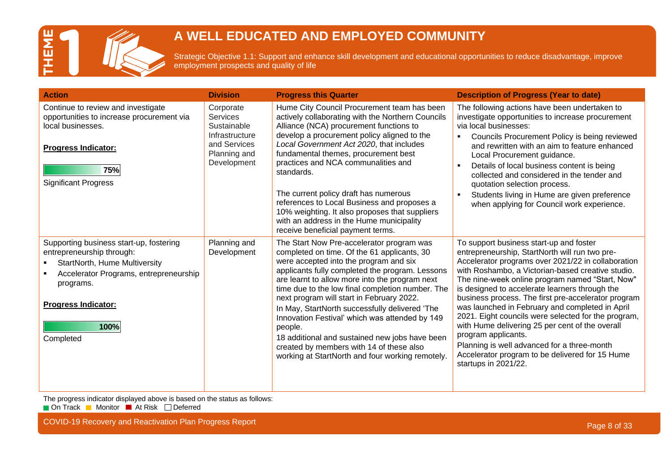

Strategic Objective 1.1: Support and enhance skill development and educational opportunities to reduce disadvantage, improve employment prospects and quality of life

| <b>Action</b>                                                                                                                                                                                                          | <b>Division</b>                                                                                              | <b>Progress this Quarter</b>                                                                                                                                                                                                                                                                                                                                                                                                                                                                                                                                                                              | <b>Description of Progress (Year to date)</b>                                                                                                                                                                                                                                                                                                                                                                                                                                                                                                                                                                                                                                  |
|------------------------------------------------------------------------------------------------------------------------------------------------------------------------------------------------------------------------|--------------------------------------------------------------------------------------------------------------|-----------------------------------------------------------------------------------------------------------------------------------------------------------------------------------------------------------------------------------------------------------------------------------------------------------------------------------------------------------------------------------------------------------------------------------------------------------------------------------------------------------------------------------------------------------------------------------------------------------|--------------------------------------------------------------------------------------------------------------------------------------------------------------------------------------------------------------------------------------------------------------------------------------------------------------------------------------------------------------------------------------------------------------------------------------------------------------------------------------------------------------------------------------------------------------------------------------------------------------------------------------------------------------------------------|
| Continue to review and investigate<br>opportunities to increase procurement via<br>local businesses.<br><b>Progress Indicator:</b><br>75%<br><b>Significant Progress</b>                                               | Corporate<br><b>Services</b><br>Sustainable<br>Infrastructure<br>and Services<br>Planning and<br>Development | Hume City Council Procurement team has been<br>actively collaborating with the Northern Councils<br>Alliance (NCA) procurement functions to<br>develop a procurement policy aligned to the<br>Local Government Act 2020, that includes<br>fundamental themes, procurement best<br>practices and NCA communalities and<br>standards.<br>The current policy draft has numerous<br>references to Local Business and proposes a<br>10% weighting. It also proposes that suppliers<br>with an address in the Hume municipality<br>receive beneficial payment terms.                                            | The following actions have been undertaken to<br>investigate opportunities to increase procurement<br>via local businesses:<br>Councils Procurement Policy is being reviewed<br>and rewritten with an aim to feature enhanced<br>Local Procurement guidance.<br>Details of local business content is being<br>collected and considered in the tender and<br>quotation selection process.<br>Students living in Hume are given preference<br>when applying for Council work experience.                                                                                                                                                                                         |
| Supporting business start-up, fostering<br>entrepreneurship through:<br><b>StartNorth, Hume Multiversity</b><br>Accelerator Programs, entrepreneurship<br>programs.<br><b>Progress Indicator:</b><br>100%<br>Completed | Planning and<br>Development                                                                                  | The Start Now Pre-accelerator program was<br>completed on time. Of the 61 applicants, 30<br>were accepted into the program and six<br>applicants fully completed the program. Lessons<br>are learnt to allow more into the program next<br>time due to the low final completion number. The<br>next program will start in February 2022.<br>In May, StartNorth successfully delivered 'The<br>Innovation Festival' which was attended by 149<br>people.<br>18 additional and sustained new jobs have been<br>created by members with 14 of these also<br>working at StartNorth and four working remotely. | To support business start-up and foster<br>entrepreneurship, StartNorth will run two pre-<br>Accelerator programs over 2021/22 in collaboration<br>with Roshambo, a Victorian-based creative studio.<br>The nine-week online program named "Start, Now"<br>is designed to accelerate learners through the<br>business process. The first pre-accelerator program<br>was launched in February and completed in April<br>2021. Eight councils were selected for the program,<br>with Hume delivering 25 per cent of the overall<br>program applicants.<br>Planning is well advanced for a three-month<br>Accelerator program to be delivered for 15 Hume<br>startups in 2021/22. |

The progress indicator displayed above is based on the status as follows:

On Track Monitor At Risk Deferred

COVID-19 Recovery and Reactivation Plan Progress Report **Page 8 of 33** and 200 km and 200 km and 200 km and 200 km and 200 km and 200 km and 200 km and 200 km and 200 km and 200 km and 200 km and 200 km and 200 km and 200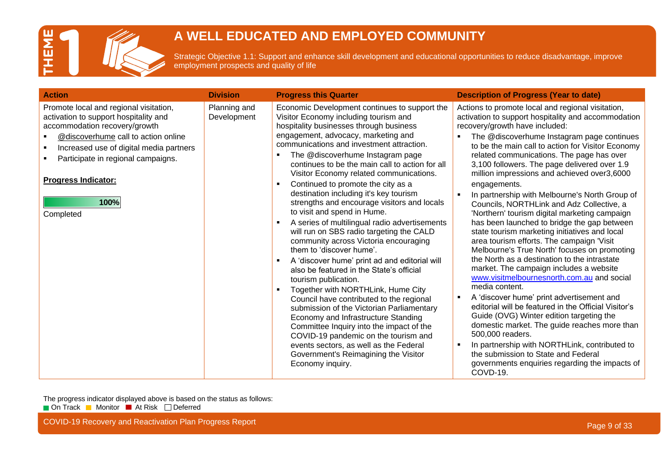

Strategic Objective 1.1: Support and enhance skill development and educational opportunities to reduce disadvantage, improve employment prospects and quality of life

| <b>Action</b>                                                                                                                                                                                                                                                                               | <b>Division</b>             | <b>Progress this Quarter</b>                                                                                                                                                                                                                                                                                                                                                                                                                                                                                                                                                                                                                                                                                                                                                                                                                                                                                                                                                                                                                                                                                                                                                                                                       | <b>Description of Progress (Year to date)</b>                                                                                                                                                                                                                                                                                                                                                                                                                                                                                                                                                                                                                                                                                                                                                                                                                                                                                                                                                                                                                                                                                                                                                                                                                                                                  |
|---------------------------------------------------------------------------------------------------------------------------------------------------------------------------------------------------------------------------------------------------------------------------------------------|-----------------------------|------------------------------------------------------------------------------------------------------------------------------------------------------------------------------------------------------------------------------------------------------------------------------------------------------------------------------------------------------------------------------------------------------------------------------------------------------------------------------------------------------------------------------------------------------------------------------------------------------------------------------------------------------------------------------------------------------------------------------------------------------------------------------------------------------------------------------------------------------------------------------------------------------------------------------------------------------------------------------------------------------------------------------------------------------------------------------------------------------------------------------------------------------------------------------------------------------------------------------------|----------------------------------------------------------------------------------------------------------------------------------------------------------------------------------------------------------------------------------------------------------------------------------------------------------------------------------------------------------------------------------------------------------------------------------------------------------------------------------------------------------------------------------------------------------------------------------------------------------------------------------------------------------------------------------------------------------------------------------------------------------------------------------------------------------------------------------------------------------------------------------------------------------------------------------------------------------------------------------------------------------------------------------------------------------------------------------------------------------------------------------------------------------------------------------------------------------------------------------------------------------------------------------------------------------------|
| Promote local and regional visitation,<br>activation to support hospitality and<br>accommodation recovery/growth<br>@discoverhume call to action online<br>Increased use of digital media partners<br>Participate in regional campaigns.<br><b>Progress Indicator:</b><br>100%<br>Completed | Planning and<br>Development | Economic Development continues to support the<br>Visitor Economy including tourism and<br>hospitality businesses through business<br>engagement, advocacy, marketing and<br>communications and investment attraction.<br>The @discoverhume Instagram page<br>$\blacksquare$<br>continues to be the main call to action for all<br>Visitor Economy related communications.<br>Continued to promote the city as a<br>$\blacksquare$<br>destination including it's key tourism<br>strengths and encourage visitors and locals<br>to visit and spend in Hume.<br>A series of multilingual radio advertisements<br>will run on SBS radio targeting the CALD<br>community across Victoria encouraging<br>them to 'discover hume'.<br>A 'discover hume' print ad and editorial will<br>also be featured in the State's official<br>tourism publication.<br>Together with NORTHLink, Hume City<br>$\blacksquare$<br>Council have contributed to the regional<br>submission of the Victorian Parliamentary<br>Economy and Infrastructure Standing<br>Committee Inquiry into the impact of the<br>COVID-19 pandemic on the tourism and<br>events sectors, as well as the Federal<br>Government's Reimagining the Visitor<br>Economy inquiry. | Actions to promote local and regional visitation,<br>activation to support hospitality and accommodation<br>recovery/growth have included:<br>The @discoverhume Instagram page continues<br>to be the main call to action for Visitor Economy<br>related communications. The page has over<br>3,100 followers. The page delivered over 1.9<br>million impressions and achieved over3,6000<br>engagements.<br>In partnership with Melbourne's North Group of<br>Councils, NORTHLink and Adz Collective, a<br>'Northern' tourism digital marketing campaign<br>has been launched to bridge the gap between<br>state tourism marketing initiatives and local<br>area tourism efforts. The campaign 'Visit<br>Melbourne's True North' focuses on promoting<br>the North as a destination to the intrastate<br>market. The campaign includes a website<br>www.visitmelbournesnorth.com.au and social<br>media content.<br>A 'discover hume' print advertisement and<br>editorial will be featured in the Official Visitor's<br>Guide (OVG) Winter edition targeting the<br>domestic market. The guide reaches more than<br>500,000 readers.<br>In partnership with NORTHLink, contributed to<br>$\blacksquare$<br>the submission to State and Federal<br>governments enquiries regarding the impacts of<br>COVD-19. |

The progress indicator displayed above is based on the status as follows: On Track Monitor At Risk Deferred

COVID-19 Recovery and Reactivation Plan Progress Report **Page 19th Covid-2012** COVID-19 Recovery and Reactivation Plan Progress Report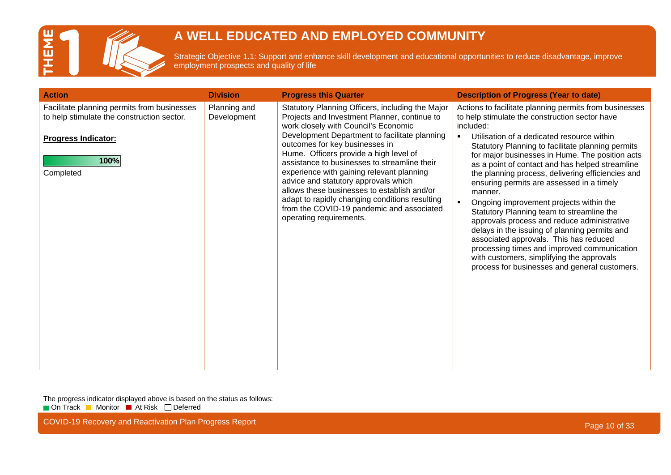

Strategic Objective 1.1: Support and enhance skill development and educational opportunities to reduce disadvantage, improve employment prospects and quality of life

| Statutory Planning Officers, including the Major<br>Facilitate planning permits from businesses<br>Planning and<br>Actions to facilitate planning permits from businesses<br>Projects and Investment Planner, continue to<br>to help stimulate the construction sector.<br>to help stimulate the construction sector have<br>Development<br>work closely with Council's Economic<br>included:<br>Development Department to facilitate planning<br>Utilisation of a dedicated resource within<br>$\blacksquare$<br><b>Progress Indicator:</b><br>outcomes for key businesses in<br>Statutory Planning to facilitate planning permits<br>Hume. Officers provide a high level of<br>for major businesses in Hume. The position acts<br>100%<br>assistance to businesses to streamline their<br>as a point of contact and has helped streamline<br>experience with gaining relevant planning<br>Completed<br>the planning process, delivering efficiencies and | <b>Action</b> | <b>Division</b> | <b>Progress this Quarter</b>         | <b>Description of Progress (Year to date)</b> |
|------------------------------------------------------------------------------------------------------------------------------------------------------------------------------------------------------------------------------------------------------------------------------------------------------------------------------------------------------------------------------------------------------------------------------------------------------------------------------------------------------------------------------------------------------------------------------------------------------------------------------------------------------------------------------------------------------------------------------------------------------------------------------------------------------------------------------------------------------------------------------------------------------------------------------------------------------------|---------------|-----------------|--------------------------------------|-----------------------------------------------|
| allows these businesses to establish and/or<br>manner.<br>adapt to rapidly changing conditions resulting<br>Ongoing improvement projects within the<br>$\blacksquare$<br>from the COVID-19 pandemic and associated<br>Statutory Planning team to streamline the<br>operating requirements.<br>approvals process and reduce administrative<br>delays in the issuing of planning permits and<br>associated approvals. This has reduced<br>processing times and improved communication<br>with customers, simplifying the approvals<br>process for businesses and general customers.                                                                                                                                                                                                                                                                                                                                                                          |               |                 | advice and statutory approvals which | ensuring permits are assessed in a timely     |

The progress indicator displayed above is based on the status as follows: On Track Monitor At Risk Deferred

COVID-19 Recovery and Reactivation Plan Progress Report **Page 10** of 33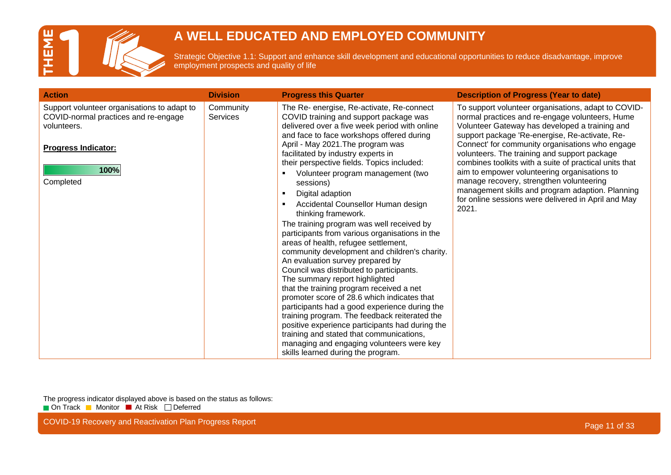

Strategic Objective 1.1: Support and enhance skill development and educational opportunities to reduce disadvantage, improve employment prospects and quality of life

| <b>Action</b>                                                                                                                                         | <b>Division</b>              | <b>Progress this Quarter</b>                                                                                                                                                                                                                                                                                                                                                                                                                                                                                                                                                                                                                                                                                                                                                                                                                                                                                                                                                                                                                                                                                                           | <b>Description of Progress (Year to date)</b>                                                                                                                                                                                                                                                                                                                                                                                                                                                                                                                                           |
|-------------------------------------------------------------------------------------------------------------------------------------------------------|------------------------------|----------------------------------------------------------------------------------------------------------------------------------------------------------------------------------------------------------------------------------------------------------------------------------------------------------------------------------------------------------------------------------------------------------------------------------------------------------------------------------------------------------------------------------------------------------------------------------------------------------------------------------------------------------------------------------------------------------------------------------------------------------------------------------------------------------------------------------------------------------------------------------------------------------------------------------------------------------------------------------------------------------------------------------------------------------------------------------------------------------------------------------------|-----------------------------------------------------------------------------------------------------------------------------------------------------------------------------------------------------------------------------------------------------------------------------------------------------------------------------------------------------------------------------------------------------------------------------------------------------------------------------------------------------------------------------------------------------------------------------------------|
| Support volunteer organisations to adapt to<br>COVID-normal practices and re-engage<br>volunteers.<br><b>Progress Indicator:</b><br>100%<br>Completed | Community<br><b>Services</b> | The Re- energise, Re-activate, Re-connect<br>COVID training and support package was<br>delivered over a five week period with online<br>and face to face workshops offered during<br>April - May 2021. The program was<br>facilitated by industry experts in<br>their perspective fields. Topics included:<br>Volunteer program management (two<br>sessions)<br>Digital adaption<br>Accidental Counsellor Human design<br>thinking framework.<br>The training program was well received by<br>participants from various organisations in the<br>areas of health, refugee settlement,<br>community development and children's charity.<br>An evaluation survey prepared by<br>Council was distributed to participants.<br>The summary report highlighted<br>that the training program received a net<br>promoter score of 28.6 which indicates that<br>participants had a good experience during the<br>training program. The feedback reiterated the<br>positive experience participants had during the<br>training and stated that communications,<br>managing and engaging volunteers were key<br>skills learned during the program. | To support volunteer organisations, adapt to COVID-<br>normal practices and re-engage volunteers, Hume<br>Volunteer Gateway has developed a training and<br>support package 'Re-energise, Re-activate, Re-<br>Connect' for community organisations who engage<br>volunteers. The training and support package<br>combines toolkits with a suite of practical units that<br>aim to empower volunteering organisations to<br>manage recovery, strengthen volunteering<br>management skills and program adaption. Planning<br>for online sessions were delivered in April and May<br>2021. |

The progress indicator displayed above is based on the status as follows: On Track Monitor At Risk Deferred

COVID-19 Recovery and Reactivation Plan Progress Report **Page 11 of 33** COVID-19 Recovery and Reactivation Plan Progress Report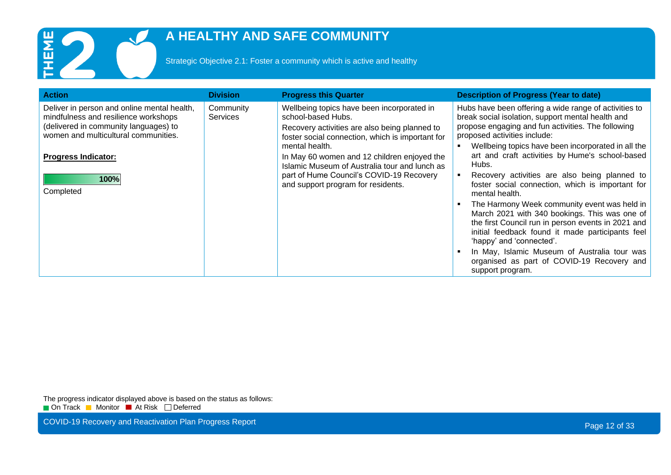

Strategic Objective 2.1: Foster a community which is active and healthy

| <b>Action</b>                                                                                                                                                        | <b>Division</b>              | <b>Progress this Quarter</b>                                                                                                                                                                     | <b>Description of Progress (Year to date)</b>                                                                                                                                                                                                                                                                                                                                                                                                    |
|----------------------------------------------------------------------------------------------------------------------------------------------------------------------|------------------------------|--------------------------------------------------------------------------------------------------------------------------------------------------------------------------------------------------|--------------------------------------------------------------------------------------------------------------------------------------------------------------------------------------------------------------------------------------------------------------------------------------------------------------------------------------------------------------------------------------------------------------------------------------------------|
| Deliver in person and online mental health,<br>mindfulness and resilience workshops<br>(delivered in community languages) to<br>women and multicultural communities. | Community<br><b>Services</b> | Wellbeing topics have been incorporated in<br>school-based Hubs.<br>Recovery activities are also being planned to<br>foster social connection, which is important for                            | Hubs have been offering a wide range of activities to<br>break social isolation, support mental health and<br>propose engaging and fun activities. The following<br>proposed activities include:                                                                                                                                                                                                                                                 |
| <b>Progress Indicator:</b><br>100%<br>Completed                                                                                                                      |                              | mental health.<br>In May 60 women and 12 children enjoyed the<br>Islamic Museum of Australia tour and lunch as<br>part of Hume Council's COVID-19 Recovery<br>and support program for residents. | Wellbeing topics have been incorporated in all the<br>art and craft activities by Hume's school-based<br>Hubs.<br>Recovery activities are also being planned to<br>foster social connection, which is important for<br>mental health.<br>The Harmony Week community event was held in<br>March 2021 with 340 bookings. This was one of<br>the first Council run in person events in 2021 and<br>initial feedback found it made participants feel |
|                                                                                                                                                                      |                              |                                                                                                                                                                                                  | 'happy' and 'connected'.<br>In May, Islamic Museum of Australia tour was<br>organised as part of COVID-19 Recovery and<br>support program.                                                                                                                                                                                                                                                                                                       |

The progress indicator displayed above is based on the status as follows: On Track Monitor At Risk Deferred

COVID-19 Recovery and Reactivation Plan Progress Report **Page 12 of 33** COVID-19 Recovery and Reactivation Plan Progress Report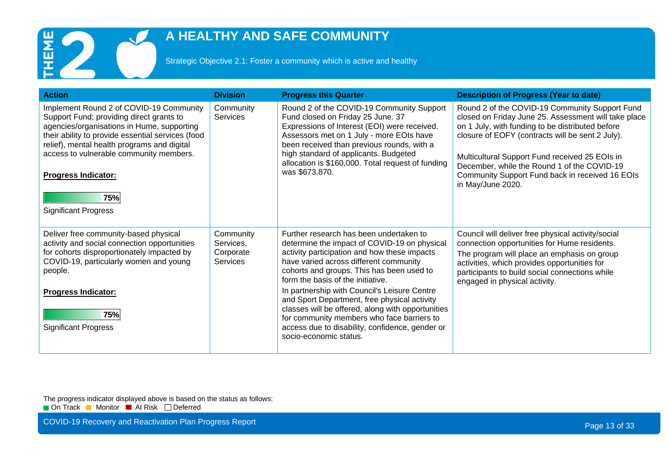

Strategic Objective 2.1: Foster a community which is active and healthy

| <b>Action</b>                                                                                                                                                                                                                                                                                                                                        | <b>Division</b>                                 | <b>Progress this Quarter</b>                                                                                                                                                                                                                                                                                                                                                                                                                                                                                                                        | <b>Description of Progress (Year to date)</b>                                                                                                                                                                                                                                                                                                                                           |
|------------------------------------------------------------------------------------------------------------------------------------------------------------------------------------------------------------------------------------------------------------------------------------------------------------------------------------------------------|-------------------------------------------------|-----------------------------------------------------------------------------------------------------------------------------------------------------------------------------------------------------------------------------------------------------------------------------------------------------------------------------------------------------------------------------------------------------------------------------------------------------------------------------------------------------------------------------------------------------|-----------------------------------------------------------------------------------------------------------------------------------------------------------------------------------------------------------------------------------------------------------------------------------------------------------------------------------------------------------------------------------------|
| Implement Round 2 of COVID-19 Community<br>Support Fund; providing direct grants to<br>agencies/organisations in Hume, supporting<br>their ability to provide essential services (food<br>relief), mental health programs and digital<br>access to vulnerable community members.<br><b>Progress Indicator:</b><br>75%<br><b>Significant Progress</b> | Community<br><b>Services</b>                    | Round 2 of the COVID-19 Community Support<br>Fund closed on Friday 25 June. 37<br>Expressions of Interest (EOI) were received.<br>Assessors met on 1 July - more EOIs have<br>been received than previous rounds, with a<br>high standard of applicants. Budgeted<br>allocation is \$160,000. Total request of funding<br>was \$673.870.                                                                                                                                                                                                            | Round 2 of the COVID-19 Community Support Fund<br>closed on Friday June 25. Assessment will take place<br>on 1 July, with funding to be distributed before<br>closure of EOFY (contracts will be sent 2 July).<br>Multicultural Support Fund received 25 EOIs in<br>December, while the Round 1 of the COVID-19<br>Community Support Fund back in received 16 EOIs<br>in May/June 2020. |
| Deliver free community-based physical<br>activity and social connection opportunities<br>for cohorts disproportionately impacted by<br>COVID-19, particularly women and young<br>people.<br><b>Progress Indicator:</b><br>75%<br><b>Significant Progress</b>                                                                                         | Community<br>Services,<br>Corporate<br>Services | Further research has been undertaken to<br>determine the impact of COVID-19 on physical<br>activity participation and how these impacts<br>have varied across different community<br>cohorts and groups. This has been used to<br>form the basis of the initiative.<br>In partnership with Council's Leisure Centre<br>and Sport Department, free physical activity<br>classes will be offered, along with opportunities<br>for community members who face barriers to<br>access due to disability, confidence, gender or<br>socio-economic status. | Council will deliver free physical activity/social<br>connection opportunities for Hume residents.<br>The program will place an emphasis on group<br>activities, which provides opportunities for<br>participants to build social connections while<br>engaged in physical activity.                                                                                                    |

The progress indicator displayed above is based on the status as follows: On Track Monitor At Risk Deferred

COVID-19 Recovery and Reactivation Plan Progress Report **Page 13 of 33** and 200 km and 200 km and 200 km and 200 km and 200 km and 200 km and 200 km and 200 km and 200 km and 200 km and 200 km and 200 km and 200 km and 200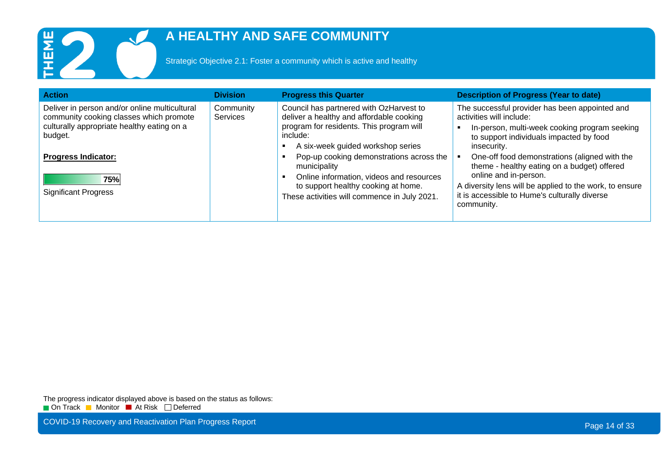

Strategic Objective 2.1: Foster a community which is active and healthy

| <b>Action</b>                                                                                                                                     | <b>Division</b>              | <b>Progress this Quarter</b>                                                                                                                                                                | <b>Description of Progress (Year to date)</b>                                                                                                                                                                                                   |
|---------------------------------------------------------------------------------------------------------------------------------------------------|------------------------------|---------------------------------------------------------------------------------------------------------------------------------------------------------------------------------------------|-------------------------------------------------------------------------------------------------------------------------------------------------------------------------------------------------------------------------------------------------|
| Deliver in person and/or online multicultural<br>community cooking classes which promote<br>culturally appropriate healthy eating on a<br>budget. | Community<br><b>Services</b> | Council has partnered with OzHarvest to<br>deliver a healthy and affordable cooking<br>program for residents. This program will<br>include:<br>A six-week guided workshop series            | The successful provider has been appointed and<br>activities will include:<br>In-person, multi-week cooking program seeking<br>to support individuals impacted by food<br>insecurity.                                                           |
| <b>Progress Indicator:</b><br>75%<br><b>Significant Progress</b>                                                                                  |                              | Pop-up cooking demonstrations across the<br>municipality<br>Online information, videos and resources<br>to support healthy cooking at home.<br>These activities will commence in July 2021. | One-off food demonstrations (aligned with the<br>theme - healthy eating on a budget) offered<br>online and in-person.<br>A diversity lens will be applied to the work, to ensure<br>it is accessible to Hume's culturally diverse<br>community. |

The progress indicator displayed above is based on the status as follows: On Track Monitor At Risk Deferred

COVID-19 Recovery and Reactivation Plan Progress Report **Page 14 of 33** COVID-19 Recovery and Reactivation Plan Progress Report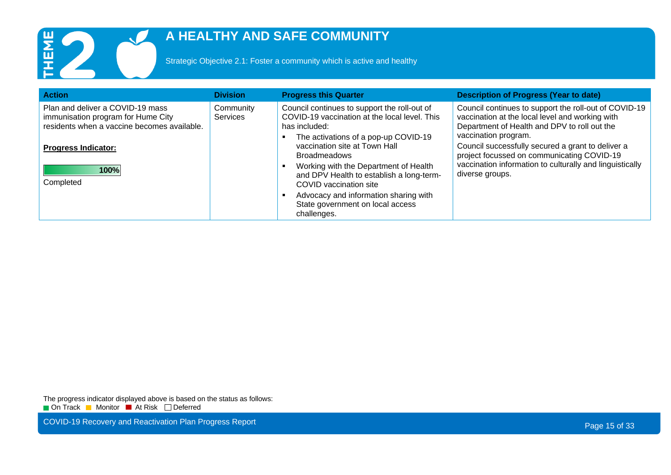

Strategic Objective 2.1: Foster a community which is active and healthy

| <b>Action</b>                                                                                                                                       | <b>Division</b>              | <b>Progress this Quarter</b>                                                                                                                                                                                   | <b>Description of Progress (Year to date)</b>                                                                                                                                                                                                                                       |
|-----------------------------------------------------------------------------------------------------------------------------------------------------|------------------------------|----------------------------------------------------------------------------------------------------------------------------------------------------------------------------------------------------------------|-------------------------------------------------------------------------------------------------------------------------------------------------------------------------------------------------------------------------------------------------------------------------------------|
| Plan and deliver a COVID-19 mass<br>immunisation program for Hume City<br>residents when a vaccine becomes available.<br><b>Progress Indicator:</b> | Community<br><b>Services</b> | Council continues to support the roll-out of<br>COVID-19 vaccination at the local level. This<br>has included:<br>The activations of a pop-up COVID-19<br>vaccination site at Town Hall<br><b>Broadmeadows</b> | Council continues to support the roll-out of COVID-19<br>vaccination at the local level and working with<br>Department of Health and DPV to roll out the<br>vaccination program.<br>Council successfully secured a grant to deliver a<br>project focussed on communicating COVID-19 |
| 100%<br>Completed                                                                                                                                   |                              | Working with the Department of Health<br>and DPV Health to establish a long-term-<br>COVID vaccination site<br>Advocacy and information sharing with<br>State government on local access<br>challenges.        | vaccination information to culturally and linguistically<br>diverse groups.                                                                                                                                                                                                         |

The progress indicator displayed above is based on the status as follows: On Track Monitor At Risk Deferred

COVID-19 Recovery and Reactivation Plan Progress Report **Page 15 of 33** COVID-19 Recovery and Reactivation Plan Progress Report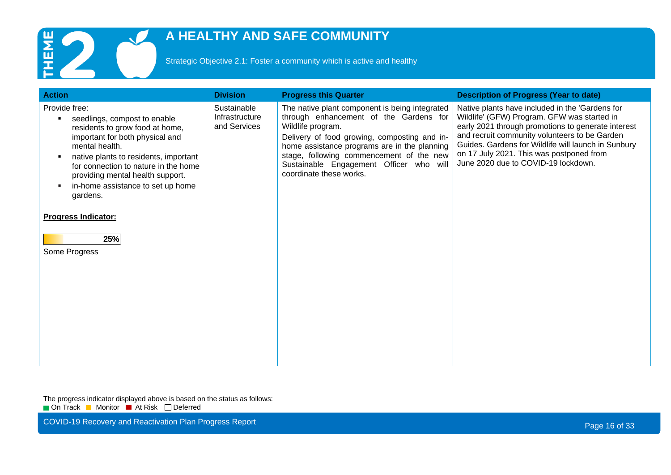

Strategic Objective 2.1: Foster a community which is active and healthy

| <b>Action</b>                                                                                                                                                                                                                                                                                                                                                                                         | <b>Division</b>                               | <b>Progress this Quarter</b>                                                                                                                                                                                                                                                                                                    | <b>Description of Progress (Year to date)</b>                                                                                                                                                                                                                                                                                                   |
|-------------------------------------------------------------------------------------------------------------------------------------------------------------------------------------------------------------------------------------------------------------------------------------------------------------------------------------------------------------------------------------------------------|-----------------------------------------------|---------------------------------------------------------------------------------------------------------------------------------------------------------------------------------------------------------------------------------------------------------------------------------------------------------------------------------|-------------------------------------------------------------------------------------------------------------------------------------------------------------------------------------------------------------------------------------------------------------------------------------------------------------------------------------------------|
| Provide free:<br>seedlings, compost to enable<br>$\blacksquare$<br>residents to grow food at home,<br>important for both physical and<br>mental health.<br>native plants to residents, important<br>$\blacksquare$<br>for connection to nature in the home<br>providing mental health support.<br>in-home assistance to set up home<br>gardens.<br><b>Progress Indicator:</b><br>25%<br>Some Progress | Sustainable<br>Infrastructure<br>and Services | The native plant component is being integrated<br>through enhancement of the Gardens for<br>Wildlife program.<br>Delivery of food growing, composting and in-<br>home assistance programs are in the planning<br>stage, following commencement of the new<br>Sustainable Engagement Officer who will<br>coordinate these works. | Native plants have included in the 'Gardens for<br>Wildlife' (GFW) Program. GFW was started in<br>early 2021 through promotions to generate interest<br>and recruit community volunteers to be Garden<br>Guides. Gardens for Wildlife will launch in Sunbury<br>on 17 July 2021. This was postponed from<br>June 2020 due to COVID-19 lockdown. |

The progress indicator displayed above is based on the status as follows: On Track Monitor At Risk Deferred

COVID-19 Recovery and Reactivation Plan Progress Report **Page 16 of 33** COVID-19 Recovery and Reactivation Plan Progress Report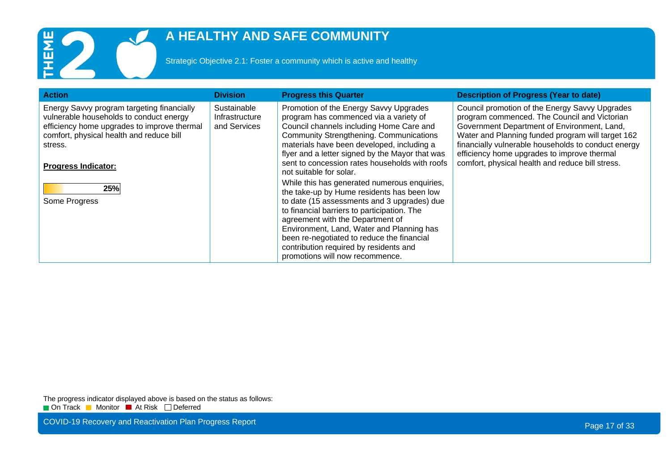

Strategic Objective 2.1: Foster a community which is active and healthy

| <b>Action</b>                                                                                                                                                                                                                                     | <b>Division</b>                               | <b>Progress this Quarter</b>                                                                                                                                                                                                                                                                                                                                                                                                                                                                                                                                                                                                                                                                                                      | <b>Description of Progress (Year to date)</b>                                                                                                                                                                                                                                                                                                                |
|---------------------------------------------------------------------------------------------------------------------------------------------------------------------------------------------------------------------------------------------------|-----------------------------------------------|-----------------------------------------------------------------------------------------------------------------------------------------------------------------------------------------------------------------------------------------------------------------------------------------------------------------------------------------------------------------------------------------------------------------------------------------------------------------------------------------------------------------------------------------------------------------------------------------------------------------------------------------------------------------------------------------------------------------------------------|--------------------------------------------------------------------------------------------------------------------------------------------------------------------------------------------------------------------------------------------------------------------------------------------------------------------------------------------------------------|
| Energy Savvy program targeting financially<br>vulnerable households to conduct energy<br>efficiency home upgrades to improve thermal<br>comfort, physical health and reduce bill<br>stress.<br><b>Progress Indicator:</b><br>25%<br>Some Progress | Sustainable<br>Infrastructure<br>and Services | Promotion of the Energy Savvy Upgrades<br>program has commenced via a variety of<br>Council channels including Home Care and<br><b>Community Strengthening. Communications</b><br>materials have been developed, including a<br>flyer and a letter signed by the Mayor that was<br>sent to concession rates households with roofs<br>not suitable for solar.<br>While this has generated numerous enquiries,<br>the take-up by Hume residents has been low<br>to date (15 assessments and 3 upgrades) due<br>to financial barriers to participation. The<br>agreement with the Department of<br>Environment, Land, Water and Planning has<br>been re-negotiated to reduce the financial<br>contribution required by residents and | Council promotion of the Energy Savvy Upgrades<br>program commenced. The Council and Victorian<br>Government Department of Environment, Land,<br>Water and Planning funded program will target 162<br>financially vulnerable households to conduct energy<br>efficiency home upgrades to improve thermal<br>comfort, physical health and reduce bill stress. |
|                                                                                                                                                                                                                                                   |                                               | promotions will now recommence.                                                                                                                                                                                                                                                                                                                                                                                                                                                                                                                                                                                                                                                                                                   |                                                                                                                                                                                                                                                                                                                                                              |

The progress indicator displayed above is based on the status as follows: On Track Monitor At Risk Deferred

COVID-19 Recovery and Reactivation Plan Progress Report **Page 17 of 33** COVID-19 Recovery and Reactivation Plan Progress Report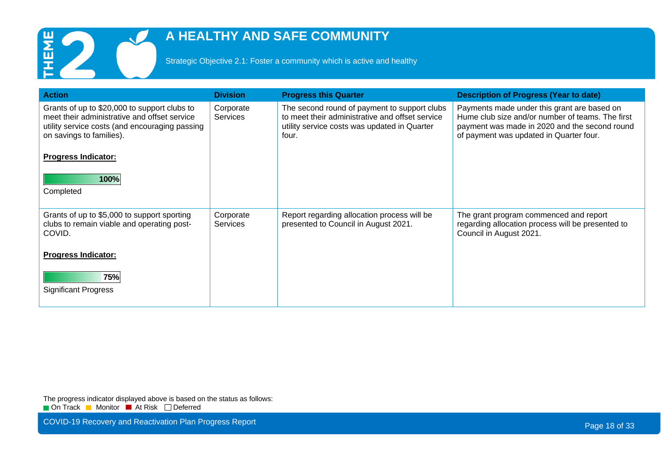

Strategic Objective 2.1: Foster a community which is active and healthy

| <b>Action</b>                                                                                                                                                              | <b>Division</b>              | <b>Progress this Quarter</b>                                                                                                                             | <b>Description of Progress (Year to date)</b>                                                                                                                                               |
|----------------------------------------------------------------------------------------------------------------------------------------------------------------------------|------------------------------|----------------------------------------------------------------------------------------------------------------------------------------------------------|---------------------------------------------------------------------------------------------------------------------------------------------------------------------------------------------|
| Grants of up to \$20,000 to support clubs to<br>meet their administrative and offset service<br>utility service costs (and encouraging passing<br>on savings to families). | Corporate<br><b>Services</b> | The second round of payment to support clubs<br>to meet their administrative and offset service<br>utility service costs was updated in Quarter<br>four. | Payments made under this grant are based on<br>Hume club size and/or number of teams. The first<br>payment was made in 2020 and the second round<br>of payment was updated in Quarter four. |
| <b>Progress Indicator:</b>                                                                                                                                                 |                              |                                                                                                                                                          |                                                                                                                                                                                             |
| 100%<br>Completed                                                                                                                                                          |                              |                                                                                                                                                          |                                                                                                                                                                                             |
| Grants of up to \$5,000 to support sporting<br>clubs to remain viable and operating post-<br>COVID.                                                                        | Corporate<br><b>Services</b> | Report regarding allocation process will be<br>presented to Council in August 2021.                                                                      | The grant program commenced and report<br>regarding allocation process will be presented to<br>Council in August 2021.                                                                      |
| <b>Progress Indicator:</b>                                                                                                                                                 |                              |                                                                                                                                                          |                                                                                                                                                                                             |
| 75%<br><b>Significant Progress</b>                                                                                                                                         |                              |                                                                                                                                                          |                                                                                                                                                                                             |

The progress indicator displayed above is based on the status as follows: On Track Monitor At Risk Deferred

COVID-19 Recovery and Reactivation Plan Progress Report **Page 18 of 33** COVID-19 Recovery and Reactivation Plan Progress Report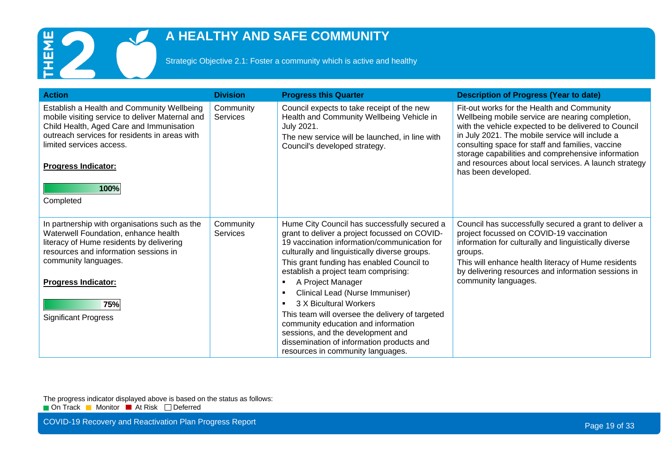

Strategic Objective 2.1: Foster a community which is active and healthy

| <b>Action</b>                                                                                                                                                                                                                                                             | <b>Division</b>       | <b>Progress this Quarter</b>                                                                                                                                                                                                                                                                                                                                                                                                                                                                                                                                                                | <b>Description of Progress (Year to date)</b>                                                                                                                                                                                                                                                                                                                                                       |
|---------------------------------------------------------------------------------------------------------------------------------------------------------------------------------------------------------------------------------------------------------------------------|-----------------------|---------------------------------------------------------------------------------------------------------------------------------------------------------------------------------------------------------------------------------------------------------------------------------------------------------------------------------------------------------------------------------------------------------------------------------------------------------------------------------------------------------------------------------------------------------------------------------------------|-----------------------------------------------------------------------------------------------------------------------------------------------------------------------------------------------------------------------------------------------------------------------------------------------------------------------------------------------------------------------------------------------------|
| Establish a Health and Community Wellbeing<br>mobile visiting service to deliver Maternal and<br>Child Health, Aged Care and Immunisation<br>outreach services for residents in areas with<br>limited services access.<br><b>Progress Indicator:</b><br>100%<br>Completed | Community<br>Services | Council expects to take receipt of the new<br>Health and Community Wellbeing Vehicle in<br>July 2021.<br>The new service will be launched, in line with<br>Council's developed strategy.                                                                                                                                                                                                                                                                                                                                                                                                    | Fit-out works for the Health and Community<br>Wellbeing mobile service are nearing completion,<br>with the vehicle expected to be delivered to Council<br>in July 2021. The mobile service will include a<br>consulting space for staff and families, vaccine<br>storage capabilities and comprehensive information<br>and resources about local services. A launch strategy<br>has been developed. |
| In partnership with organisations such as the<br>Waterwell Foundation, enhance health<br>literacy of Hume residents by delivering<br>resources and information sessions in<br>community languages.<br><b>Progress Indicator:</b><br>75%<br><b>Significant Progress</b>    | Community<br>Services | Hume City Council has successfully secured a<br>grant to deliver a project focussed on COVID-<br>19 vaccination information/communication for<br>culturally and linguistically diverse groups.<br>This grant funding has enabled Council to<br>establish a project team comprising:<br>A Project Manager<br>٠<br>Clinical Lead (Nurse Immuniser)<br>3 X Bicultural Workers<br>This team will oversee the delivery of targeted<br>community education and information<br>sessions, and the development and<br>dissemination of information products and<br>resources in community languages. | Council has successfully secured a grant to deliver a<br>project focussed on COVID-19 vaccination<br>information for culturally and linguistically diverse<br>groups.<br>This will enhance health literacy of Hume residents<br>by delivering resources and information sessions in<br>community languages.                                                                                         |

The progress indicator displayed above is based on the status as follows:

On Track Monitor At Risk Deferred

COVID-19 Recovery and Reactivation Plan Progress Report **Page 19 of 33** COVID-19 Recovery and Reactivation Plan Progress Report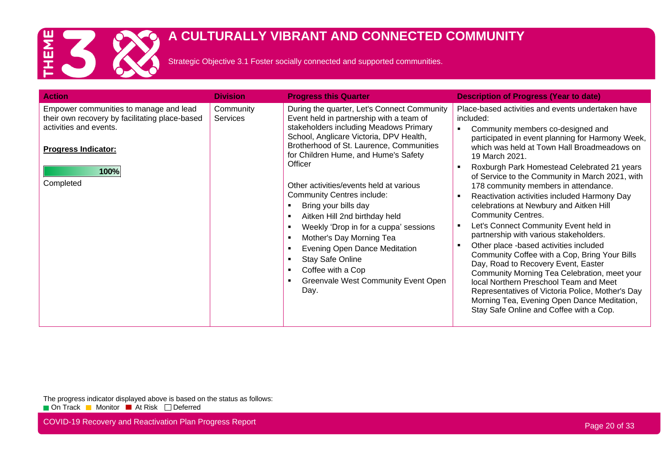

Strategic Objective 3.1 Foster socially connected and supported communities.

| <b>Action</b>                                                                                                                                                         | <b>Division</b>              | <b>Progress this Quarter</b>                                                                                                                                                                                                                                                                                                                                                                                                                                                                                                                                                                                                                                                                                | <b>Description of Progress (Year to date)</b>                                                                                                                                                                                                                                                                                                                                                                                                                                                                                                                                                                                                                                                                                                                                                                                                                                                                                                           |
|-----------------------------------------------------------------------------------------------------------------------------------------------------------------------|------------------------------|-------------------------------------------------------------------------------------------------------------------------------------------------------------------------------------------------------------------------------------------------------------------------------------------------------------------------------------------------------------------------------------------------------------------------------------------------------------------------------------------------------------------------------------------------------------------------------------------------------------------------------------------------------------------------------------------------------------|---------------------------------------------------------------------------------------------------------------------------------------------------------------------------------------------------------------------------------------------------------------------------------------------------------------------------------------------------------------------------------------------------------------------------------------------------------------------------------------------------------------------------------------------------------------------------------------------------------------------------------------------------------------------------------------------------------------------------------------------------------------------------------------------------------------------------------------------------------------------------------------------------------------------------------------------------------|
| Empower communities to manage and lead<br>their own recovery by facilitating place-based<br>activities and events.<br><b>Progress Indicator:</b><br>100%<br>Completed | Community<br><b>Services</b> | During the quarter, Let's Connect Community<br>Event held in partnership with a team of<br>stakeholders including Meadows Primary<br>School, Anglicare Victoria, DPV Health,<br>Brotherhood of St. Laurence, Communities<br>for Children Hume, and Hume's Safety<br>Officer<br>Other activities/events held at various<br><b>Community Centres include:</b><br>Bring your bills day<br>Aitken Hill 2nd birthday held<br>$\blacksquare$<br>Weekly 'Drop in for a cuppa' sessions<br>$\blacksquare$<br>Mother's Day Morning Tea<br>$\blacksquare$<br>Evening Open Dance Meditation<br>п<br><b>Stay Safe Online</b><br>п<br>Coffee with a Cop<br>$\blacksquare$<br>Greenvale West Community Event Open<br>Day. | Place-based activities and events undertaken have<br>included:<br>Community members co-designed and<br>participated in event planning for Harmony Week,<br>which was held at Town Hall Broadmeadows on<br>19 March 2021.<br>Roxburgh Park Homestead Celebrated 21 years<br>of Service to the Community in March 2021, with<br>178 community members in attendance.<br>Reactivation activities included Harmony Day<br>celebrations at Newbury and Aitken Hill<br><b>Community Centres.</b><br>Let's Connect Community Event held in<br>partnership with various stakeholders.<br>Other place -based activities included<br>Community Coffee with a Cop, Bring Your Bills<br>Day, Road to Recovery Event, Easter<br>Community Morning Tea Celebration, meet your<br>local Northern Preschool Team and Meet<br>Representatives of Victoria Police, Mother's Day<br>Morning Tea, Evening Open Dance Meditation,<br>Stay Safe Online and Coffee with a Cop. |

The progress indicator displayed above is based on the status as follows: On Track Monitor At Risk Deferred

COVID-19 Recovery and Reactivation Plan Progress Report **Page 20 of 33** COVID-19 Recovery and Reactivation Plan Progress Report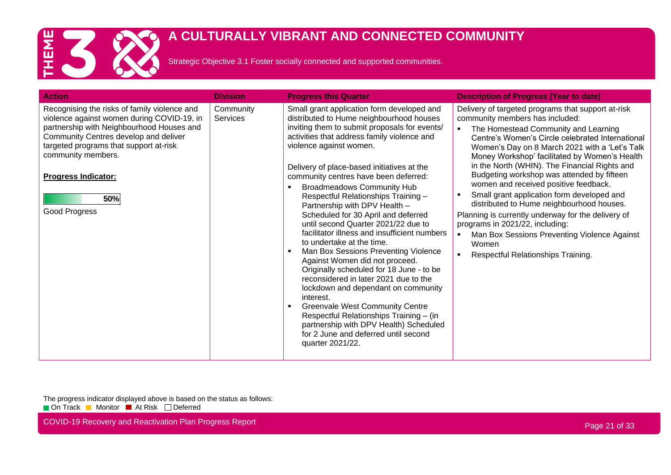

Strategic Objective 3.1 Foster socially connected and supported communities.

| <b>Action</b>                                                                                                                                                                                                                                                                                          | <b>Division</b>       | <b>Progress this Quarter</b>                                                                                                                                                                                                                                                                                                                                                                                                                                                                                                                                                                                                                                                                                                                                                                                                                                                                                                                                                                             | <b>Description of Progress (Year to date)</b>                                                                                                                                                                                                                                                                                                                                                                                                                                                                                                                                                                                                                                                                                     |
|--------------------------------------------------------------------------------------------------------------------------------------------------------------------------------------------------------------------------------------------------------------------------------------------------------|-----------------------|----------------------------------------------------------------------------------------------------------------------------------------------------------------------------------------------------------------------------------------------------------------------------------------------------------------------------------------------------------------------------------------------------------------------------------------------------------------------------------------------------------------------------------------------------------------------------------------------------------------------------------------------------------------------------------------------------------------------------------------------------------------------------------------------------------------------------------------------------------------------------------------------------------------------------------------------------------------------------------------------------------|-----------------------------------------------------------------------------------------------------------------------------------------------------------------------------------------------------------------------------------------------------------------------------------------------------------------------------------------------------------------------------------------------------------------------------------------------------------------------------------------------------------------------------------------------------------------------------------------------------------------------------------------------------------------------------------------------------------------------------------|
| Recognising the risks of family violence and<br>violence against women during COVID-19, in<br>partnership with Neighbourhood Houses and<br>Community Centres develop and deliver<br>targeted programs that support at-risk<br>community members.<br><b>Progress Indicator:</b><br>50%<br>Good Progress | Community<br>Services | Small grant application form developed and<br>distributed to Hume neighbourhood houses<br>inviting them to submit proposals for events/<br>activities that address family violence and<br>violence against women.<br>Delivery of place-based initiatives at the<br>community centres have been deferred:<br><b>Broadmeadows Community Hub</b><br>Respectful Relationships Training -<br>Partnership with DPV Health -<br>Scheduled for 30 April and deferred<br>until second Quarter 2021/22 due to<br>facilitator illness and insufficient numbers<br>to undertake at the time.<br>Man Box Sessions Preventing Violence<br>п<br>Against Women did not proceed.<br>Originally scheduled for 18 June - to be<br>reconsidered in later 2021 due to the<br>lockdown and dependant on community<br>interest.<br><b>Greenvale West Community Centre</b><br>п<br>Respectful Relationships Training - (in<br>partnership with DPV Health) Scheduled<br>for 2 June and deferred until second<br>quarter 2021/22. | Delivery of targeted programs that support at-risk<br>community members has included:<br>The Homestead Community and Learning<br>Centre's Women's Circle celebrated International<br>Women's Day on 8 March 2021 with a 'Let's Talk<br>Money Workshop' facilitated by Women's Health<br>in the North (WHIN). The Financial Rights and<br>Budgeting workshop was attended by fifteen<br>women and received positive feedback.<br>Small grant application form developed and<br>distributed to Hume neighbourhood houses.<br>Planning is currently underway for the delivery of<br>programs in 2021/22, including:<br>Man Box Sessions Preventing Violence Against<br>$\blacksquare$<br>Women<br>Respectful Relationships Training. |

The progress indicator displayed above is based on the status as follows: On Track Monitor At Risk Deferred

COVID-19 Recovery and Reactivation Plan Progress Report **Page 21 of 33** COVID-19 Recovery and Reactivation Plan Progress Report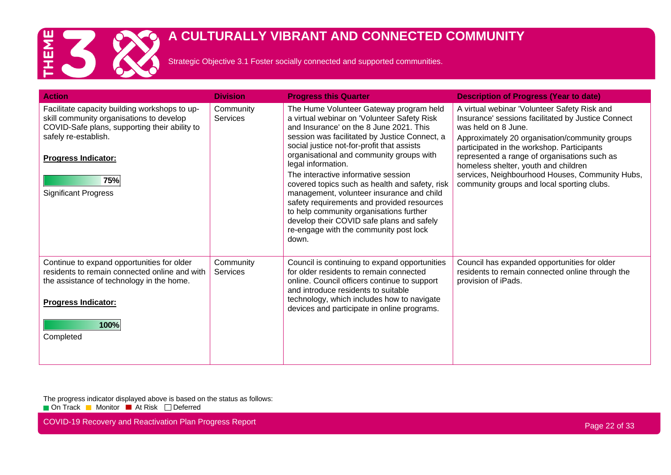

Strategic Objective 3.1 Foster socially connected and supported communities.

| <b>Action</b>                                                                                                                                                                                                                          | <b>Division</b>       | <b>Progress this Quarter</b>                                                                                                                                                                                                                                                                                                                                                                                                                                                                                                                                                                                                      | <b>Description of Progress (Year to date)</b>                                                                                                                                                                                                                                                                                                                                                                      |
|----------------------------------------------------------------------------------------------------------------------------------------------------------------------------------------------------------------------------------------|-----------------------|-----------------------------------------------------------------------------------------------------------------------------------------------------------------------------------------------------------------------------------------------------------------------------------------------------------------------------------------------------------------------------------------------------------------------------------------------------------------------------------------------------------------------------------------------------------------------------------------------------------------------------------|--------------------------------------------------------------------------------------------------------------------------------------------------------------------------------------------------------------------------------------------------------------------------------------------------------------------------------------------------------------------------------------------------------------------|
| Facilitate capacity building workshops to up-<br>skill community organisations to develop<br>COVID-Safe plans, supporting their ability to<br>safely re-establish.<br><b>Progress Indicator:</b><br>75%<br><b>Significant Progress</b> | Community<br>Services | The Hume Volunteer Gateway program held<br>a virtual webinar on 'Volunteer Safety Risk<br>and Insurance' on the 8 June 2021. This<br>session was facilitated by Justice Connect, a<br>social justice not-for-profit that assists<br>organisational and community groups with<br>legal information.<br>The interactive informative session<br>covered topics such as health and safety, risk<br>management, volunteer insurance and child<br>safety requirements and provided resources<br>to help community organisations further<br>develop their COVID safe plans and safely<br>re-engage with the community post lock<br>down. | A virtual webinar 'Volunteer Safety Risk and<br>Insurance' sessions facilitated by Justice Connect<br>was held on 8 June.<br>Approximately 20 organisation/community groups<br>participated in the workshop. Participants<br>represented a range of organisations such as<br>homeless shelter, youth and children<br>services, Neighbourhood Houses, Community Hubs,<br>community groups and local sporting clubs. |
| Continue to expand opportunities for older<br>residents to remain connected online and with<br>the assistance of technology in the home.<br><b>Progress Indicator:</b><br>100%<br>Completed                                            | Community<br>Services | Council is continuing to expand opportunities<br>for older residents to remain connected<br>online. Council officers continue to support<br>and introduce residents to suitable<br>technology, which includes how to navigate<br>devices and participate in online programs.                                                                                                                                                                                                                                                                                                                                                      | Council has expanded opportunities for older<br>residents to remain connected online through the<br>provision of iPads.                                                                                                                                                                                                                                                                                            |

The progress indicator displayed above is based on the status as follows: On Track Monitor At Risk Deferred

COVID-19 Recovery and Reactivation Plan Progress Report **Page 22 of 33** COVID-19 Recovery and Reactivation Plan Progress Report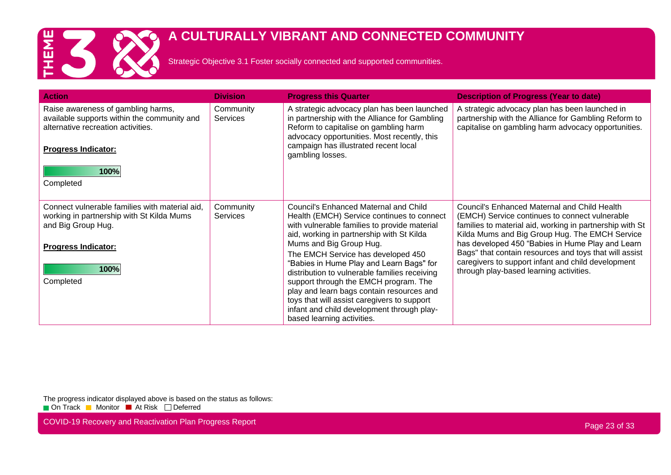

Strategic Objective 3.1 Foster socially connected and supported communities.

| <b>Action</b>                                                                                                                                                 | <b>Division</b>              | <b>Progress this Quarter</b>                                                                                                                                                                                                                                   | <b>Description of Progress (Year to date)</b>                                                                                                                                                                |
|---------------------------------------------------------------------------------------------------------------------------------------------------------------|------------------------------|----------------------------------------------------------------------------------------------------------------------------------------------------------------------------------------------------------------------------------------------------------------|--------------------------------------------------------------------------------------------------------------------------------------------------------------------------------------------------------------|
| Raise awareness of gambling harms,<br>available supports within the community and<br>alternative recreation activities.<br><b>Progress Indicator:</b><br>100% | Community<br><b>Services</b> | A strategic advocacy plan has been launched<br>in partnership with the Alliance for Gambling<br>Reform to capitalise on gambling harm<br>advocacy opportunities. Most recently, this<br>campaign has illustrated recent local<br>gambling losses.              | A strategic advocacy plan has been launched in<br>partnership with the Alliance for Gambling Reform to<br>capitalise on gambling harm advocacy opportunities.                                                |
| Completed                                                                                                                                                     |                              |                                                                                                                                                                                                                                                                |                                                                                                                                                                                                              |
| Connect vulnerable families with material aid,<br>working in partnership with St Kilda Mums<br>and Big Group Hug.                                             | Community<br><b>Services</b> | Council's Enhanced Maternal and Child<br>Health (EMCH) Service continues to connect<br>with vulnerable families to provide material<br>aid, working in partnership with St Kilda                                                                               | Council's Enhanced Maternal and Child Health<br>(EMCH) Service continues to connect vulnerable<br>families to material aid, working in partnership with St<br>Kilda Mums and Big Group Hug. The EMCH Service |
| <b>Progress Indicator:</b>                                                                                                                                    |                              | Mums and Big Group Hug.<br>The EMCH Service has developed 450<br>"Babies in Hume Play and Learn Bags" for                                                                                                                                                      | has developed 450 "Babies in Hume Play and Learn<br>Bags" that contain resources and toys that will assist<br>caregivers to support infant and child development                                             |
| 100%<br>Completed                                                                                                                                             |                              | distribution to vulnerable families receiving<br>support through the EMCH program. The<br>play and learn bags contain resources and<br>toys that will assist caregivers to support<br>infant and child development through play-<br>based learning activities. | through play-based learning activities.                                                                                                                                                                      |

The progress indicator displayed above is based on the status as follows: On Track Monitor At Risk Deferred

COVID-19 Recovery and Reactivation Plan Progress Report **Page 23 of 33** COVID-19 Recovery and Reactivation Plan Progress Report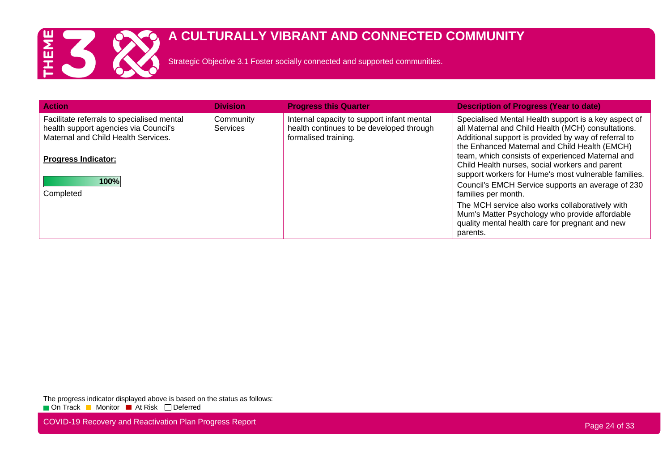

Strategic Objective 3.1 Foster socially connected and supported communities.

| <b>Division</b>              | <b>Progress this Quarter</b>                                                                                   | <b>Description of Progress (Year to date)</b>                                                                                                                                                                       |
|------------------------------|----------------------------------------------------------------------------------------------------------------|---------------------------------------------------------------------------------------------------------------------------------------------------------------------------------------------------------------------|
| Community<br><b>Services</b> | Internal capacity to support infant mental<br>health continues to be developed through<br>formalised training. | Specialised Mental Health support is a key aspect of<br>all Maternal and Child Health (MCH) consultations.<br>Additional support is provided by way of referral to<br>the Enhanced Maternal and Child Health (EMCH) |
|                              |                                                                                                                | team, which consists of experienced Maternal and<br>Child Health nurses, social workers and parent<br>support workers for Hume's most vulnerable families.                                                          |
|                              |                                                                                                                | Council's EMCH Service supports an average of 230<br>families per month.                                                                                                                                            |
|                              |                                                                                                                | The MCH service also works collaboratively with<br>Mum's Matter Psychology who provide affordable<br>quality mental health care for pregnant and new<br>parents.                                                    |
|                              |                                                                                                                |                                                                                                                                                                                                                     |

The progress indicator displayed above is based on the status as follows: On Track Monitor At Risk Deferred

COVID-19 Recovery and Reactivation Plan Progress Report **Page 24 of 33** COVID-19 Recovery and Reactivation Plan Progress Report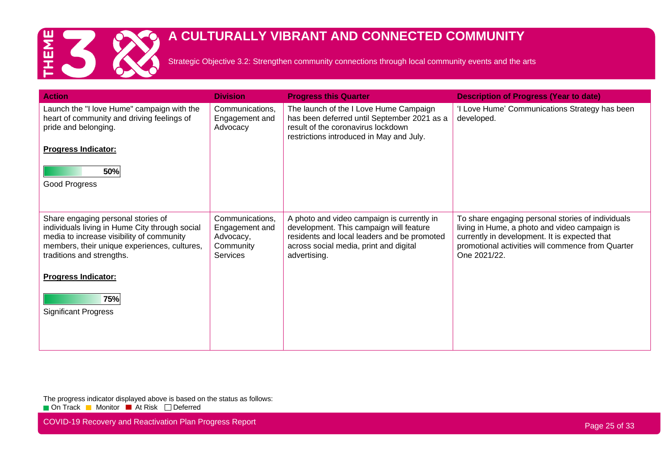

Strategic Objective 3.2: Strengthen community connections through local community events and the arts

| <b>Action</b>                                                                                                                                                                                                  | <b>Division</b>                                                                | <b>Progress this Quarter</b>                                                                                                                                                                   | <b>Description of Progress (Year to date)</b>                                                                                                                                                                            |
|----------------------------------------------------------------------------------------------------------------------------------------------------------------------------------------------------------------|--------------------------------------------------------------------------------|------------------------------------------------------------------------------------------------------------------------------------------------------------------------------------------------|--------------------------------------------------------------------------------------------------------------------------------------------------------------------------------------------------------------------------|
| Launch the "I love Hume" campaign with the<br>heart of community and driving feelings of<br>pride and belonging.<br><b>Progress Indicator:</b><br>50%<br>Good Progress                                         | Communications,<br>Engagement and<br>Advocacy                                  | The launch of the I Love Hume Campaign<br>has been deferred until September 2021 as a<br>result of the coronavirus lockdown<br>restrictions introduced in May and July.                        | 'I Love Hume' Communications Strategy has been<br>developed.                                                                                                                                                             |
|                                                                                                                                                                                                                |                                                                                |                                                                                                                                                                                                |                                                                                                                                                                                                                          |
| Share engaging personal stories of<br>individuals living in Hume City through social<br>media to increase visibility of community<br>members, their unique experiences, cultures,<br>traditions and strengths. | Communications,<br>Engagement and<br>Advocacy,<br>Community<br><b>Services</b> | A photo and video campaign is currently in<br>development. This campaign will feature<br>residents and local leaders and be promoted<br>across social media, print and digital<br>advertising. | To share engaging personal stories of individuals<br>living in Hume, a photo and video campaign is<br>currently in development. It is expected that<br>promotional activities will commence from Quarter<br>One 2021/22. |
| <b>Progress Indicator:</b>                                                                                                                                                                                     |                                                                                |                                                                                                                                                                                                |                                                                                                                                                                                                                          |
| 75%<br><b>Significant Progress</b>                                                                                                                                                                             |                                                                                |                                                                                                                                                                                                |                                                                                                                                                                                                                          |

The progress indicator displayed above is based on the status as follows: On Track Monitor At Risk Deferred

COVID-19 Recovery and Reactivation Plan Progress Report **Page 25 of 33** COVID-19 Recovery and Reactivation Plan Progress Report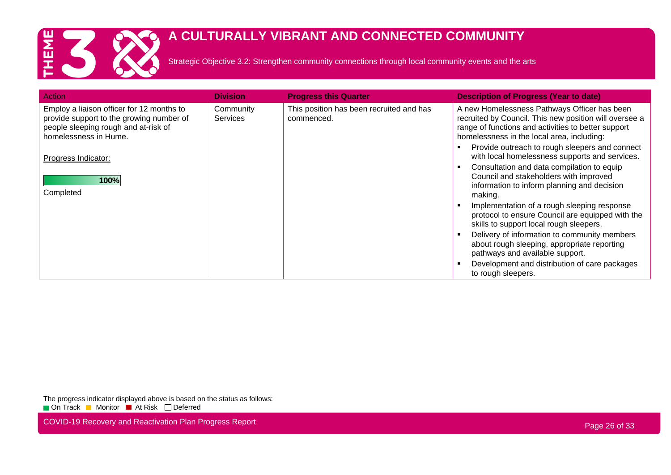

Strategic Objective 3.2: Strengthen community connections through local community events and the arts

| Action                                                                                                                                                 | <b>Division</b>              | <b>Progress this Quarter</b>                           | <b>Description of Progress (Year to date)</b>                                                                                                                                                               |
|--------------------------------------------------------------------------------------------------------------------------------------------------------|------------------------------|--------------------------------------------------------|-------------------------------------------------------------------------------------------------------------------------------------------------------------------------------------------------------------|
| Employ a liaison officer for 12 months to<br>provide support to the growing number of<br>people sleeping rough and at-risk of<br>homelessness in Hume. | Community<br><b>Services</b> | This position has been recruited and has<br>commenced. | A new Homelessness Pathways Officer has been<br>recruited by Council. This new position will oversee a<br>range of functions and activities to better support<br>homelessness in the local area, including: |
| Progress Indicator:                                                                                                                                    |                              |                                                        | Provide outreach to rough sleepers and connect<br>with local homelessness supports and services.                                                                                                            |
| 100%<br>Completed                                                                                                                                      |                              |                                                        | Consultation and data compilation to equip<br>Council and stakeholders with improved<br>information to inform planning and decision<br>making.                                                              |
|                                                                                                                                                        |                              |                                                        | Implementation of a rough sleeping response<br>protocol to ensure Council are equipped with the<br>skills to support local rough sleepers.                                                                  |
|                                                                                                                                                        |                              |                                                        | Delivery of information to community members<br>about rough sleeping, appropriate reporting<br>pathways and available support.                                                                              |
|                                                                                                                                                        |                              |                                                        | Development and distribution of care packages<br>to rough sleepers.                                                                                                                                         |

The progress indicator displayed above is based on the status as follows: On Track Monitor At Risk Deferred

COVID-19 Recovery and Reactivation Plan Progress Report **Page 26 of 33** COVID-19 Recovery and Reactivation Plan Progress Report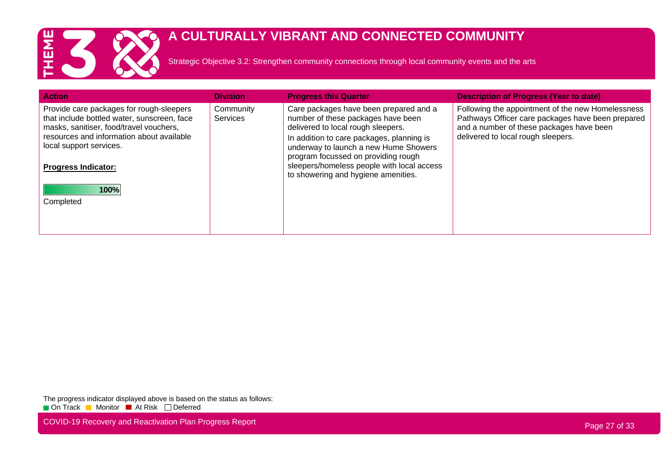

Strategic Objective 3.2: Strengthen community connections through local community events and the arts

| <b>Action</b>                                                                                                                                                                                                                            | <b>Division</b>              | <b>Progress this Quarter</b>                                                                                                                                                                                                                                                                                                         | <b>Description of Progress (Year to date)</b>                                                                                                                                            |
|------------------------------------------------------------------------------------------------------------------------------------------------------------------------------------------------------------------------------------------|------------------------------|--------------------------------------------------------------------------------------------------------------------------------------------------------------------------------------------------------------------------------------------------------------------------------------------------------------------------------------|------------------------------------------------------------------------------------------------------------------------------------------------------------------------------------------|
| Provide care packages for rough-sleepers<br>that include bottled water, sunscreen, face<br>masks, sanitiser, food/travel vouchers,<br>resources and information about available<br>local support services.<br><b>Progress Indicator:</b> | Community<br><b>Services</b> | Care packages have been prepared and a<br>number of these packages have been<br>delivered to local rough sleepers.<br>In addition to care packages, planning is<br>underway to launch a new Hume Showers<br>program focussed on providing rough<br>sleepers/homeless people with local access<br>to showering and hygiene amenities. | Following the appointment of the new Homelessness<br>Pathways Officer care packages have been prepared<br>and a number of these packages have been<br>delivered to local rough sleepers. |
| 100%<br>Completed                                                                                                                                                                                                                        |                              |                                                                                                                                                                                                                                                                                                                                      |                                                                                                                                                                                          |

The progress indicator displayed above is based on the status as follows: On Track Monitor At Risk Deferred

COVID-19 Recovery and Reactivation Plan Progress Report **Page 27 of 33** COVID-19 Recovery and Reactivation Plan Progress Report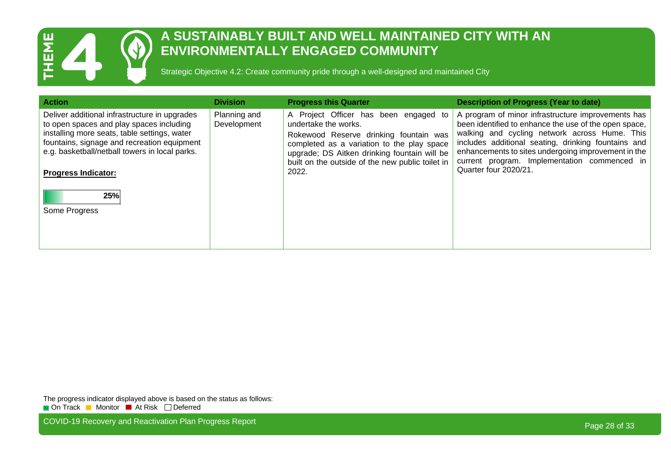

#### **A SUSTAINABLY BUILT AND WELL MAINTAINED CITY WITH AN ENVIRONMENTALLY ENGAGED COMMUNITY**

Strategic Objective 4.2: Create community pride through a well-designed and maintained City

| <b>Action</b>                                                                                                                                                                                                                                                                                    | <b>Division</b>             | <b>Progress this Quarter</b>                                                                                                                                                                                                                                       | <b>Description of Progress (Year to date)</b>                                                                                                                                                                                                                                                                                                       |
|--------------------------------------------------------------------------------------------------------------------------------------------------------------------------------------------------------------------------------------------------------------------------------------------------|-----------------------------|--------------------------------------------------------------------------------------------------------------------------------------------------------------------------------------------------------------------------------------------------------------------|-----------------------------------------------------------------------------------------------------------------------------------------------------------------------------------------------------------------------------------------------------------------------------------------------------------------------------------------------------|
| Deliver additional infrastructure in upgrades<br>to open spaces and play spaces including<br>installing more seats, table settings, water<br>fountains, signage and recreation equipment<br>e.g. basketball/netball towers in local parks.<br><b>Progress Indicator:</b><br>25%<br>Some Progress | Planning and<br>Development | A Project Officer has been engaged to<br>undertake the works.<br>Rokewood Reserve drinking fountain was<br>completed as a variation to the play space<br>upgrade; DS Aitken drinking fountain will be<br>built on the outside of the new public toilet in<br>2022. | A program of minor infrastructure improvements has<br>been identified to enhance the use of the open space,<br>walking and cycling network across Hume. This<br>includes additional seating, drinking fountains and<br>enhancements to sites undergoing improvement in the<br>current program. Implementation commenced in<br>Quarter four 2020/21. |

The progress indicator displayed above is based on the status as follows: On Track Monitor At Risk Deferred

COVID-19 Recovery and Reactivation Plan Progress Report **Page 28 of 33** COVID-19 Recovery and Reactivation Plan Progress Report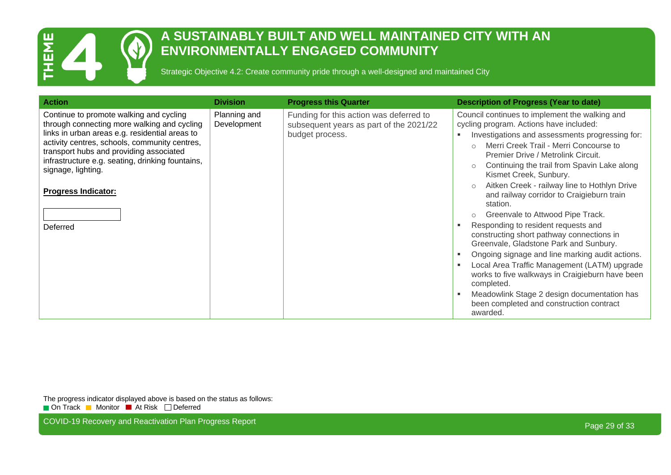

#### **A SUSTAINABLY BUILT AND WELL MAINTAINED CITY WITH AN ENVIRONMENTALLY ENGAGED COMMUNITY**

Strategic Objective 4.2: Create community pride through a well-designed and maintained City

| <b>Action</b>                                                                                                                                                                                                                                                                                                                                            | <b>Division</b>             | <b>Progress this Quarter</b>                                                                          | <b>Description of Progress (Year to date)</b>                                                                                                                                                                                                                                                                                                                                                                                                                                                                                                                                                                                                                                                                                                                                                                                                                                                                       |
|----------------------------------------------------------------------------------------------------------------------------------------------------------------------------------------------------------------------------------------------------------------------------------------------------------------------------------------------------------|-----------------------------|-------------------------------------------------------------------------------------------------------|---------------------------------------------------------------------------------------------------------------------------------------------------------------------------------------------------------------------------------------------------------------------------------------------------------------------------------------------------------------------------------------------------------------------------------------------------------------------------------------------------------------------------------------------------------------------------------------------------------------------------------------------------------------------------------------------------------------------------------------------------------------------------------------------------------------------------------------------------------------------------------------------------------------------|
| Continue to promote walking and cycling<br>through connecting more walking and cycling<br>links in urban areas e.g. residential areas to<br>activity centres, schools, community centres,<br>transport hubs and providing associated<br>infrastructure e.g. seating, drinking fountains,<br>signage, lighting.<br><b>Progress Indicator:</b><br>Deferred | Planning and<br>Development | Funding for this action was deferred to<br>subsequent years as part of the 2021/22<br>budget process. | Council continues to implement the walking and<br>cycling program. Actions have included:<br>Investigations and assessments progressing for:<br>٠<br>Merri Creek Trail - Merri Concourse to<br>$\bigcap$<br>Premier Drive / Metrolink Circuit.<br>Continuing the trail from Spavin Lake along<br>$\circ$<br>Kismet Creek, Sunbury.<br>Aitken Creek - railway line to Hothlyn Drive<br>$\circ$<br>and railway corridor to Craigieburn train<br>station.<br>Greenvale to Attwood Pipe Track.<br>$\circ$<br>Responding to resident requests and<br>constructing short pathway connections in<br>Greenvale, Gladstone Park and Sunbury.<br>Ongoing signage and line marking audit actions.<br>٠<br>Local Area Traffic Management (LATM) upgrade<br>works to five walkways in Craigieburn have been<br>completed.<br>Meadowlink Stage 2 design documentation has<br>been completed and construction contract<br>awarded. |

The progress indicator displayed above is based on the status as follows: On Track Monitor At Risk Deferred

COVID-19 Recovery and Reactivation Plan Progress Report **Page 29 of 33** COVID-19 Recovery and Reactivation Plan Progress Report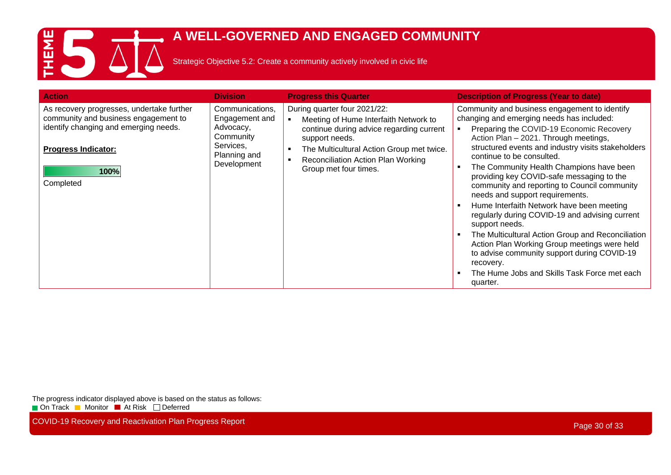

#### **A WELL-GOVERNED AND ENGAGED COMMUNITY**

Strategic Objective 5.2: Create a community actively involved in civic life

| <b>Action</b>                                                                                                                                                                 | <b>Division</b>                                                                                         | <b>Progress this Quarter</b>                                                                                                                                                                                                                         | <b>Description of Progress (Year to date)</b>                                                                                                                                                                                                                                                                                                                                                                                                                                                                                                                                                                                                                                                                                                                                                |
|-------------------------------------------------------------------------------------------------------------------------------------------------------------------------------|---------------------------------------------------------------------------------------------------------|------------------------------------------------------------------------------------------------------------------------------------------------------------------------------------------------------------------------------------------------------|----------------------------------------------------------------------------------------------------------------------------------------------------------------------------------------------------------------------------------------------------------------------------------------------------------------------------------------------------------------------------------------------------------------------------------------------------------------------------------------------------------------------------------------------------------------------------------------------------------------------------------------------------------------------------------------------------------------------------------------------------------------------------------------------|
| As recovery progresses, undertake further<br>community and business engagement to<br>identify changing and emerging needs.<br><b>Progress Indicator:</b><br>100%<br>Completed | Communications,<br>Engagement and<br>Advocacy,<br>Community<br>Services,<br>Planning and<br>Development | During quarter four 2021/22:<br>Meeting of Hume Interfaith Network to<br>continue during advice regarding current<br>support needs.<br>The Multicultural Action Group met twice.<br>٠<br>Reconciliation Action Plan Working<br>Group met four times. | Community and business engagement to identify<br>changing and emerging needs has included:<br>Preparing the COVID-19 Economic Recovery<br>Action Plan - 2021. Through meetings,<br>structured events and industry visits stakeholders<br>continue to be consulted.<br>The Community Health Champions have been<br>providing key COVID-safe messaging to the<br>community and reporting to Council community<br>needs and support requirements.<br>Hume Interfaith Network have been meeting<br>regularly during COVID-19 and advising current<br>support needs.<br>The Multicultural Action Group and Reconciliation<br>Action Plan Working Group meetings were held<br>to advise community support during COVID-19<br>recovery.<br>The Hume Jobs and Skills Task Force met each<br>quarter. |

The progress indicator displayed above is based on the status as follows: **On Track Monitor At Risk Deferred** 

COVID-19 Recovery and Reactivation Plan Progress Report **Page 30 of 33** and 20 of 33 and 20 of 33 and 20 of 33 and 20 of 33 and 20 of 33 and 20 of 33 and 20 of 33 and 20 of 33 and 20 of 33 and 20 of 33 and 20 of 33 and 20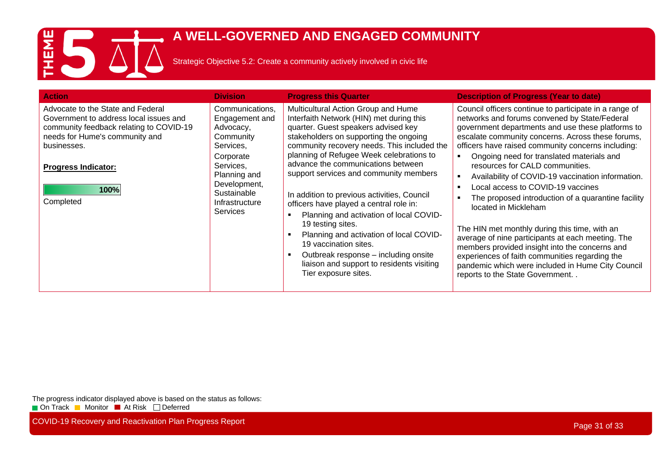# ES A

#### **A WELL-GOVERNED AND ENGAGED COMMUNITY**

Strategic Objective 5.2: Create a community actively involved in civic life

| <b>Action</b>                                                                                                                                                                                                              | <b>Division</b>                                                                                                                                                                        | <b>Progress this Quarter</b>                                                                                                                                                                                                                                                                                                                                                                                                                                                                                                                                                                                                                                                                  | <b>Description of Progress (Year to date)</b>                                                                                                                                                                                                                                                                                                                                                                                                                                                                                                                                                                                                                                                                                                                                                                                        |
|----------------------------------------------------------------------------------------------------------------------------------------------------------------------------------------------------------------------------|----------------------------------------------------------------------------------------------------------------------------------------------------------------------------------------|-----------------------------------------------------------------------------------------------------------------------------------------------------------------------------------------------------------------------------------------------------------------------------------------------------------------------------------------------------------------------------------------------------------------------------------------------------------------------------------------------------------------------------------------------------------------------------------------------------------------------------------------------------------------------------------------------|--------------------------------------------------------------------------------------------------------------------------------------------------------------------------------------------------------------------------------------------------------------------------------------------------------------------------------------------------------------------------------------------------------------------------------------------------------------------------------------------------------------------------------------------------------------------------------------------------------------------------------------------------------------------------------------------------------------------------------------------------------------------------------------------------------------------------------------|
| Advocate to the State and Federal<br>Government to address local issues and<br>community feedback relating to COVID-19<br>needs for Hume's community and<br>businesses.<br><b>Progress Indicator:</b><br>100%<br>Completed | Communications,<br>Engagement and<br>Advocacy,<br>Community<br>Services,<br>Corporate<br>Services,<br>Planning and<br>Development,<br>Sustainable<br>Infrastructure<br><b>Services</b> | Multicultural Action Group and Hume<br>Interfaith Network (HIN) met during this<br>quarter. Guest speakers advised key<br>stakeholders on supporting the ongoing<br>community recovery needs. This included the<br>planning of Refugee Week celebrations to<br>advance the communications between<br>support services and community members<br>In addition to previous activities, Council<br>officers have played a central role in:<br>Planning and activation of local COVID-<br>19 testing sites.<br>Planning and activation of local COVID-<br>- 1<br>19 vaccination sites.<br>Outbreak response – including onsite<br>liaison and support to residents visiting<br>Tier exposure sites. | Council officers continue to participate in a range of<br>networks and forums convened by State/Federal<br>government departments and use these platforms to<br>escalate community concerns. Across these forums,<br>officers have raised community concerns including:<br>Ongoing need for translated materials and<br>resources for CALD communities.<br>Availability of COVID-19 vaccination information.<br>Local access to COVID-19 vaccines<br>The proposed introduction of a quarantine facility<br>located in Mickleham<br>The HIN met monthly during this time, with an<br>average of nine participants at each meeting. The<br>members provided insight into the concerns and<br>experiences of faith communities regarding the<br>pandemic which were included in Hume City Council<br>reports to the State Government. . |

The progress indicator displayed above is based on the status as follows: **On Track Monitor At Risk Deferred** 

COVID-19 Recovery and Reactivation Plan Progress Report **Page 31 of 33** and 200 and 200 and 200 and 200 and 200 and 200 and 200 and 200 and 200 and 200 and 200 and 200 and 200 and 200 and 200 and 200 and 200 and 200 and 20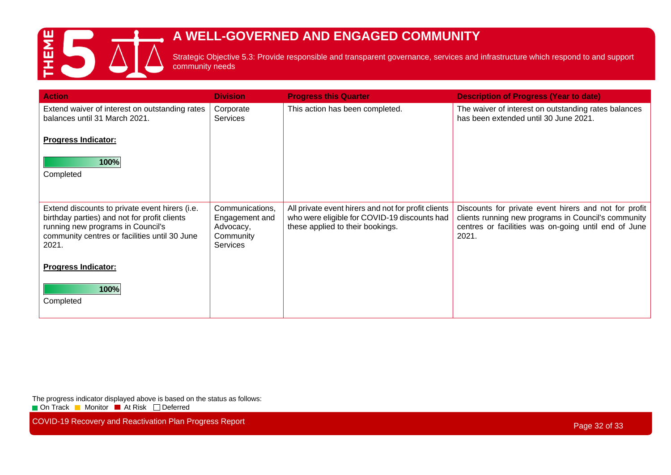

# **A WELL-GOVERNED AND ENGAGED COMMUNITY**

Strategic Objective 5.3: Provide responsible and transparent governance, services and infrastructure which respond to and support community needs

| <b>Action</b>                                                                                                                                                                                 | <b>Division</b>                                                                | <b>Progress this Quarter</b>                                                                                                            | <b>Description of Progress (Year to date)</b>                                                                                                                                 |
|-----------------------------------------------------------------------------------------------------------------------------------------------------------------------------------------------|--------------------------------------------------------------------------------|-----------------------------------------------------------------------------------------------------------------------------------------|-------------------------------------------------------------------------------------------------------------------------------------------------------------------------------|
| Extend waiver of interest on outstanding rates<br>balances until 31 March 2021.                                                                                                               | Corporate<br><b>Services</b>                                                   | This action has been completed.                                                                                                         | The waiver of interest on outstanding rates balances<br>has been extended until 30 June 2021.                                                                                 |
| <b>Progress Indicator:</b>                                                                                                                                                                    |                                                                                |                                                                                                                                         |                                                                                                                                                                               |
| 100%<br>Completed                                                                                                                                                                             |                                                                                |                                                                                                                                         |                                                                                                                                                                               |
| Extend discounts to private event hirers (i.e.<br>birthday parties) and not for profit clients<br>running new programs in Council's<br>community centres or facilities until 30 June<br>2021. | Communications,<br>Engagement and<br>Advocacy,<br>Community<br><b>Services</b> | All private event hirers and not for profit clients<br>who were eligible for COVID-19 discounts had<br>these applied to their bookings. | Discounts for private event hirers and not for profit<br>clients running new programs in Council's community<br>centres or facilities was on-going until end of June<br>2021. |
| <b>Progress Indicator:</b>                                                                                                                                                                    |                                                                                |                                                                                                                                         |                                                                                                                                                                               |
| 100%<br>Completed                                                                                                                                                                             |                                                                                |                                                                                                                                         |                                                                                                                                                                               |

The progress indicator displayed above is based on the status as follows:

**On Track Monitor At Risk Deferred** 

COVID-19 Recovery and Reactivation Plan Progress Report **Page 32 of 33** and 2011 12 of 33 and 2012 12 of 33 and 2012 12 of 33 and 2012 12 of 33 and 2012 12 of 33 and 2012 12 of 33 and 2012 12 of 33 and 2012 12 of 33 and 20